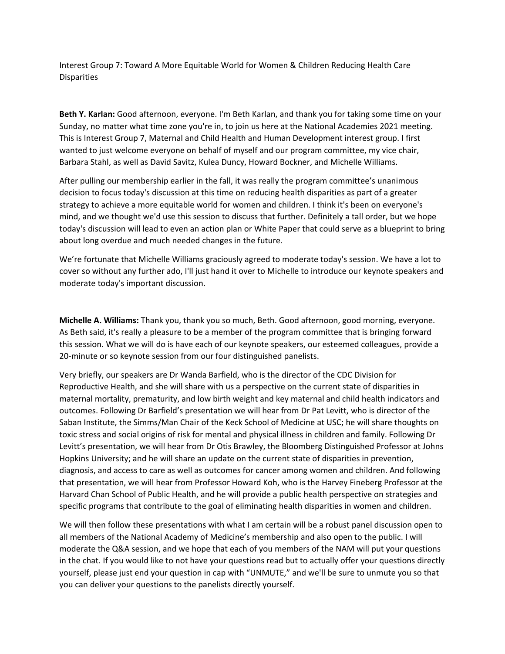Interest Group 7: Toward A More Equitable World for Women & Children Reducing Health Care Disparities

**Beth Y. Karlan:** Good afternoon, everyone. I'm Beth Karlan, and thank you for taking some time on your Sunday, no matter what time zone you're in, to join us here at the National Academies 2021 meeting. This is Interest Group 7, Maternal and Child Health and Human Development interest group. I first wanted to just welcome everyone on behalf of myself and our program committee, my vice chair, Barbara Stahl, as well as David Savitz, Kulea Duncy, Howard Bockner, and Michelle Williams.

After pulling our membership earlier in the fall, it was really the program committee's unanimous decision to focus today's discussion at this time on reducing health disparities as part of a greater strategy to achieve a more equitable world for women and children. I think it's been on everyone's mind, and we thought we'd use this session to discuss that further. Definitely a tall order, but we hope today's discussion will lead to even an action plan or White Paper that could serve as a blueprint to bring about long overdue and much needed changes in the future.

We're fortunate that Michelle Williams graciously agreed to moderate today's session. We have a lot to cover so without any further ado, I'll just hand it over to Michelle to introduce our keynote speakers and moderate today's important discussion.

**Michelle A. Williams:** Thank you, thank you so much, Beth. Good afternoon, good morning, everyone. As Beth said, it's really a pleasure to be a member of the program committee that is bringing forward this session. What we will do is have each of our keynote speakers, our esteemed colleagues, provide a 20-minute or so keynote session from our four distinguished panelists.

Very briefly, our speakers are Dr Wanda Barfield, who is the director of the CDC Division for Reproductive Health, and she will share with us a perspective on the current state of disparities in maternal mortality, prematurity, and low birth weight and key maternal and child health indicators and outcomes. Following Dr Barfield's presentation we will hear from Dr Pat Levitt, who is director of the Saban Institute, the Simms/Man Chair of the Keck School of Medicine at USC; he will share thoughts on toxic stress and social origins of risk for mental and physical illness in children and family. Following Dr Levitt's presentation, we will hear from Dr Otis Brawley, the Bloomberg Distinguished Professor at Johns Hopkins University; and he will share an update on the current state of disparities in prevention, diagnosis, and access to care as well as outcomes for cancer among women and children. And following that presentation, we will hear from Professor Howard Koh, who is the Harvey Fineberg Professor at the Harvard Chan School of Public Health, and he will provide a public health perspective on strategies and specific programs that contribute to the goal of eliminating health disparities in women and children.

We will then follow these presentations with what I am certain will be a robust panel discussion open to all members of the National Academy of Medicine's membership and also open to the public. I will moderate the Q&A session, and we hope that each of you members of the NAM will put your questions in the chat. If you would like to not have your questions read but to actually offer your questions directly yourself, please just end your question in cap with "UNMUTE," and we'll be sure to unmute you so that you can deliver your questions to the panelists directly yourself.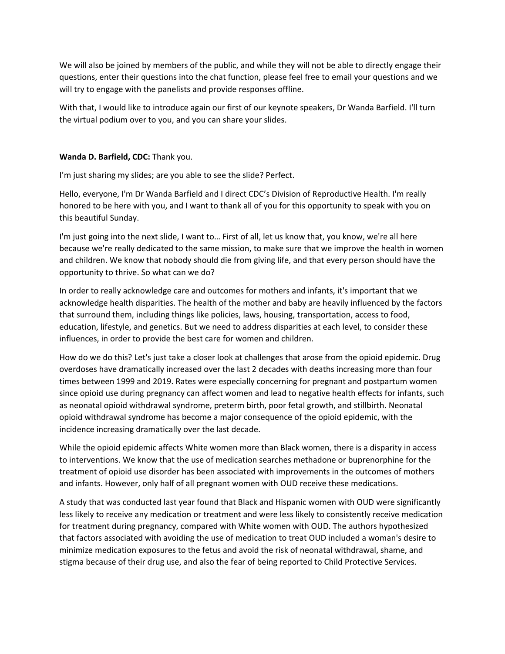We will also be joined by members of the public, and while they will not be able to directly engage their questions, enter their questions into the chat function, please feel free to email your questions and we will try to engage with the panelists and provide responses offline.

With that, I would like to introduce again our first of our keynote speakers, Dr Wanda Barfield. I'll turn the virtual podium over to you, and you can share your slides.

# **Wanda D. Barfield, CDC:** Thank you.

I'm just sharing my slides; are you able to see the slide? Perfect.

Hello, everyone, I'm Dr Wanda Barfield and I direct CDC's Division of Reproductive Health. I'm really honored to be here with you, and I want to thank all of you for this opportunity to speak with you on this beautiful Sunday.

I'm just going into the next slide, I want to… First of all, let us know that, you know, we're all here because we're really dedicated to the same mission, to make sure that we improve the health in women and children. We know that nobody should die from giving life, and that every person should have the opportunity to thrive. So what can we do?

In order to really acknowledge care and outcomes for mothers and infants, it's important that we acknowledge health disparities. The health of the mother and baby are heavily influenced by the factors that surround them, including things like policies, laws, housing, transportation, access to food, education, lifestyle, and genetics. But we need to address disparities at each level, to consider these influences, in order to provide the best care for women and children.

How do we do this? Let's just take a closer look at challenges that arose from the opioid epidemic. Drug overdoses have dramatically increased over the last 2 decades with deaths increasing more than four times between 1999 and 2019. Rates were especially concerning for pregnant and postpartum women since opioid use during pregnancy can affect women and lead to negative health effects for infants, such as neonatal opioid withdrawal syndrome, preterm birth, poor fetal growth, and stillbirth. Neonatal opioid withdrawal syndrome has become a major consequence of the opioid epidemic, with the incidence increasing dramatically over the last decade.

While the opioid epidemic affects White women more than Black women, there is a disparity in access to interventions. We know that the use of medication searches methadone or buprenorphine for the treatment of opioid use disorder has been associated with improvements in the outcomes of mothers and infants. However, only half of all pregnant women with OUD receive these medications.

A study that was conducted last year found that Black and Hispanic women with OUD were significantly less likely to receive any medication or treatment and were less likely to consistently receive medication for treatment during pregnancy, compared with White women with OUD. The authors hypothesized that factors associated with avoiding the use of medication to treat OUD included a woman's desire to minimize medication exposures to the fetus and avoid the risk of neonatal withdrawal, shame, and stigma because of their drug use, and also the fear of being reported to Child Protective Services.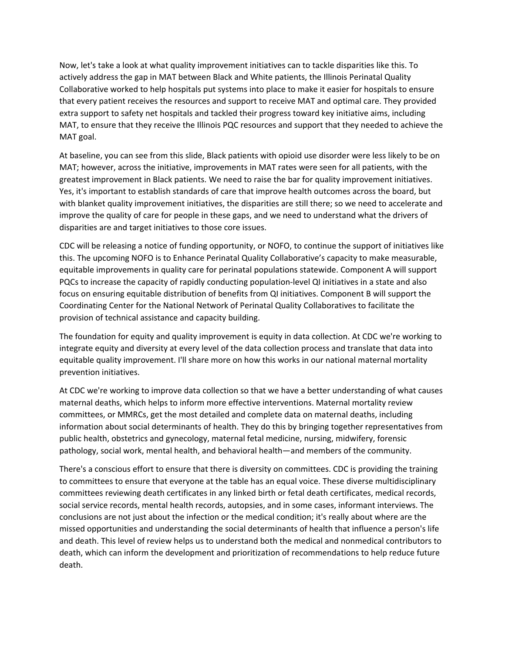Now, let's take a look at what quality improvement initiatives can to tackle disparities like this. To actively address the gap in MAT between Black and White patients, the Illinois Perinatal Quality Collaborative worked to help hospitals put systems into place to make it easier for hospitals to ensure that every patient receives the resources and support to receive MAT and optimal care. They provided extra support to safety net hospitals and tackled their progress toward key initiative aims, including MAT, to ensure that they receive the Illinois PQC resources and support that they needed to achieve the MAT goal.

At baseline, you can see from this slide, Black patients with opioid use disorder were less likely to be on MAT; however, across the initiative, improvements in MAT rates were seen for all patients, with the greatest improvement in Black patients. We need to raise the bar for quality improvement initiatives. Yes, it's important to establish standards of care that improve health outcomes across the board, but with blanket quality improvement initiatives, the disparities are still there; so we need to accelerate and improve the quality of care for people in these gaps, and we need to understand what the drivers of disparities are and target initiatives to those core issues.

CDC will be releasing a notice of funding opportunity, or NOFO, to continue the support of initiatives like this. The upcoming NOFO is to Enhance Perinatal Quality Collaborative's capacity to make measurable, equitable improvements in quality care for perinatal populations statewide. Component A will support PQCs to increase the capacity of rapidly conducting population‐level QI initiatives in a state and also focus on ensuring equitable distribution of benefits from QI initiatives. Component B will support the Coordinating Center for the National Network of Perinatal Quality Collaboratives to facilitate the provision of technical assistance and capacity building.

The foundation for equity and quality improvement is equity in data collection. At CDC we're working to integrate equity and diversity at every level of the data collection process and translate that data into equitable quality improvement. I'll share more on how this works in our national maternal mortality prevention initiatives.

At CDC we're working to improve data collection so that we have a better understanding of what causes maternal deaths, which helps to inform more effective interventions. Maternal mortality review committees, or MMRCs, get the most detailed and complete data on maternal deaths, including information about social determinants of health. They do this by bringing together representatives from public health, obstetrics and gynecology, maternal fetal medicine, nursing, midwifery, forensic pathology, social work, mental health, and behavioral health—and members of the community.

There's a conscious effort to ensure that there is diversity on committees. CDC is providing the training to committees to ensure that everyone at the table has an equal voice. These diverse multidisciplinary committees reviewing death certificates in any linked birth or fetal death certificates, medical records, social service records, mental health records, autopsies, and in some cases, informant interviews. The conclusions are not just about the infection or the medical condition; it's really about where are the missed opportunities and understanding the social determinants of health that influence a person's life and death. This level of review helps us to understand both the medical and nonmedical contributors to death, which can inform the development and prioritization of recommendations to help reduce future death.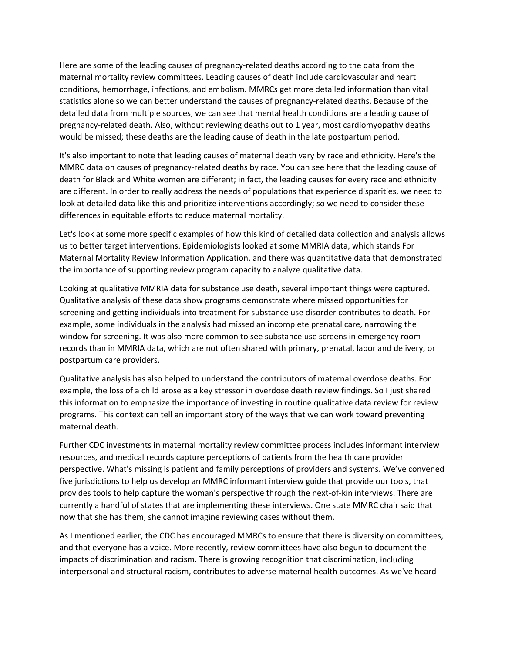Here are some of the leading causes of pregnancy-related deaths according to the data from the maternal mortality review committees. Leading causes of death include cardiovascular and heart conditions, hemorrhage, infections, and embolism. MMRCs get more detailed information than vital statistics alone so we can better understand the causes of pregnancy-related deaths. Because of the detailed data from multiple sources, we can see that mental health conditions are a leading cause of pregnancy‐related death. Also, without reviewing deaths out to 1 year, most cardiomyopathy deaths would be missed; these deaths are the leading cause of death in the late postpartum period.

It's also important to note that leading causes of maternal death vary by race and ethnicity. Here's the MMRC data on causes of pregnancy-related deaths by race. You can see here that the leading cause of death for Black and White women are different; in fact, the leading causes for every race and ethnicity are different. In order to really address the needs of populations that experience disparities, we need to look at detailed data like this and prioritize interventions accordingly; so we need to consider these differences in equitable efforts to reduce maternal mortality.

Let's look at some more specific examples of how this kind of detailed data collection and analysis allows us to better target interventions. Epidemiologists looked at some MMRIA data, which stands For Maternal Mortality Review Information Application, and there was quantitative data that demonstrated the importance of supporting review program capacity to analyze qualitative data.

Looking at qualitative MMRIA data for substance use death, several important things were captured. Qualitative analysis of these data show programs demonstrate where missed opportunities for screening and getting individuals into treatment for substance use disorder contributes to death. For example, some individuals in the analysis had missed an incomplete prenatal care, narrowing the window for screening. It was also more common to see substance use screens in emergency room records than in MMRIA data, which are not often shared with primary, prenatal, labor and delivery, or postpartum care providers.

Qualitative analysis has also helped to understand the contributors of maternal overdose deaths. For example, the loss of a child arose as a key stressor in overdose death review findings. So I just shared this information to emphasize the importance of investing in routine qualitative data review for review programs. This context can tell an important story of the ways that we can work toward preventing maternal death.

Further CDC investments in maternal mortality review committee process includes informant interview resources, and medical records capture perceptions of patients from the health care provider perspective. What's missing is patient and family perceptions of providers and systems. We've convened five jurisdictions to help us develop an MMRC informant interview guide that provide our tools, that provides tools to help capture the woman's perspective through the next‐of‐kin interviews. There are currently a handful of states that are implementing these interviews. One state MMRC chair said that now that she has them, she cannot imagine reviewing cases without them.

As I mentioned earlier, the CDC has encouraged MMRCs to ensure that there is diversity on committees, and that everyone has a voice. More recently, review committees have also begun to document the impacts of discrimination and racism. There is growing recognition that discrimination, including interpersonal and structural racism, contributes to adverse maternal health outcomes. As we've heard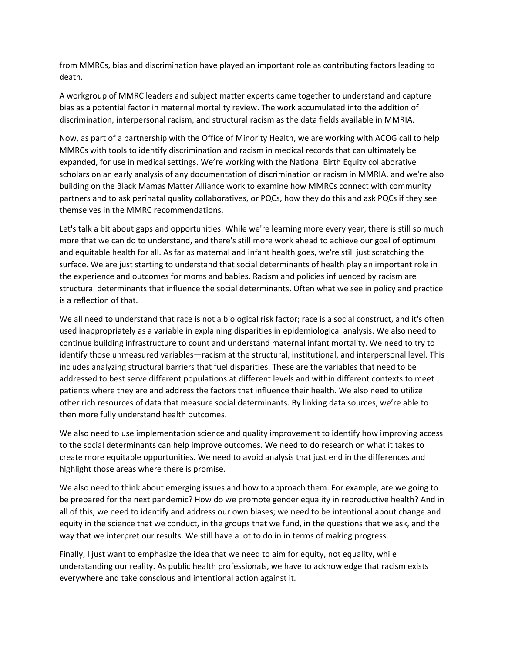from MMRCs, bias and discrimination have played an important role as contributing factors leading to death.

A workgroup of MMRC leaders and subject matter experts came together to understand and capture bias as a potential factor in maternal mortality review. The work accumulated into the addition of discrimination, interpersonal racism, and structural racism as the data fields available in MMRIA.

Now, as part of a partnership with the Office of Minority Health, we are working with ACOG call to help MMRCs with tools to identify discrimination and racism in medical records that can ultimately be expanded, for use in medical settings. We're working with the National Birth Equity collaborative scholars on an early analysis of any documentation of discrimination or racism in MMRIA, and we're also building on the Black Mamas Matter Alliance work to examine how MMRCs connect with community partners and to ask perinatal quality collaboratives, or PQCs, how they do this and ask PQCs if they see themselves in the MMRC recommendations.

Let's talk a bit about gaps and opportunities. While we're learning more every year, there is still so much more that we can do to understand, and there's still more work ahead to achieve our goal of optimum and equitable health for all. As far as maternal and infant health goes, we're still just scratching the surface. We are just starting to understand that social determinants of health play an important role in the experience and outcomes for moms and babies. Racism and policies influenced by racism are structural determinants that influence the social determinants. Often what we see in policy and practice is a reflection of that.

We all need to understand that race is not a biological risk factor; race is a social construct, and it's often used inappropriately as a variable in explaining disparities in epidemiological analysis. We also need to continue building infrastructure to count and understand maternal infant mortality. We need to try to identify those unmeasured variables—racism at the structural, institutional, and interpersonal level. This includes analyzing structural barriers that fuel disparities. These are the variables that need to be addressed to best serve different populations at different levels and within different contexts to meet patients where they are and address the factors that influence their health. We also need to utilize other rich resources of data that measure social determinants. By linking data sources, we're able to then more fully understand health outcomes.

We also need to use implementation science and quality improvement to identify how improving access to the social determinants can help improve outcomes. We need to do research on what it takes to create more equitable opportunities. We need to avoid analysis that just end in the differences and highlight those areas where there is promise.

We also need to think about emerging issues and how to approach them. For example, are we going to be prepared for the next pandemic? How do we promote gender equality in reproductive health? And in all of this, we need to identify and address our own biases; we need to be intentional about change and equity in the science that we conduct, in the groups that we fund, in the questions that we ask, and the way that we interpret our results. We still have a lot to do in in terms of making progress.

Finally, I just want to emphasize the idea that we need to aim for equity, not equality, while understanding our reality. As public health professionals, we have to acknowledge that racism exists everywhere and take conscious and intentional action against it.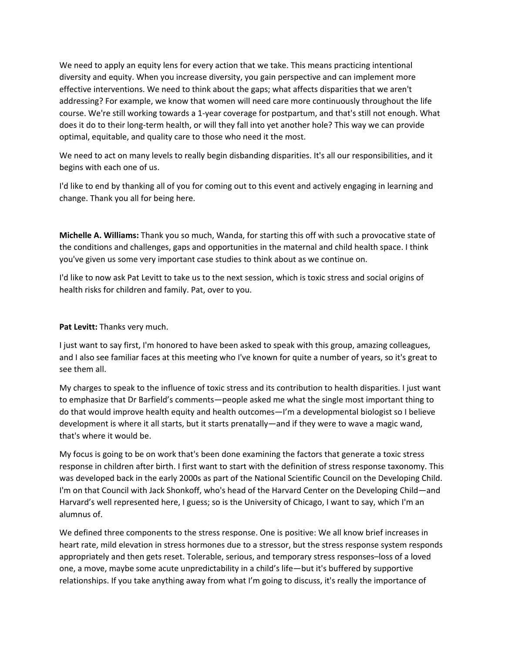We need to apply an equity lens for every action that we take. This means practicing intentional diversity and equity. When you increase diversity, you gain perspective and can implement more effective interventions. We need to think about the gaps; what affects disparities that we aren't addressing? For example, we know that women will need care more continuously throughout the life course. We're still working towards a 1‐year coverage for postpartum, and that's still not enough. What does it do to their long‐term health, or will they fall into yet another hole? This way we can provide optimal, equitable, and quality care to those who need it the most.

We need to act on many levels to really begin disbanding disparities. It's all our responsibilities, and it begins with each one of us.

I'd like to end by thanking all of you for coming out to this event and actively engaging in learning and change. Thank you all for being here.

**Michelle A. Williams:** Thank you so much, Wanda, for starting this off with such a provocative state of the conditions and challenges, gaps and opportunities in the maternal and child health space. I think you've given us some very important case studies to think about as we continue on.

I'd like to now ask Pat Levitt to take us to the next session, which is toxic stress and social origins of health risks for children and family. Pat, over to you.

# **Pat Levitt:** Thanks very much.

I just want to say first, I'm honored to have been asked to speak with this group, amazing colleagues, and I also see familiar faces at this meeting who I've known for quite a number of years, so it's great to see them all.

My charges to speak to the influence of toxic stress and its contribution to health disparities. I just want to emphasize that Dr Barfield's comments—people asked me what the single most important thing to do that would improve health equity and health outcomes—I'm a developmental biologist so I believe development is where it all starts, but it starts prenatally—and if they were to wave a magic wand, that's where it would be.

My focus is going to be on work that's been done examining the factors that generate a toxic stress response in children after birth. I first want to start with the definition of stress response taxonomy. This was developed back in the early 2000s as part of the National Scientific Council on the Developing Child. I'm on that Council with Jack Shonkoff, who's head of the Harvard Center on the Developing Child—and Harvard's well represented here, I guess; so is the University of Chicago, I want to say, which I'm an alumnus of.

We defined three components to the stress response. One is positive: We all know brief increases in heart rate, mild elevation in stress hormones due to a stressor, but the stress response system responds appropriately and then gets reset. Tolerable, serious, and temporary stress responses–loss of a loved one, a move, maybe some acute unpredictability in a child's life—but it's buffered by supportive relationships. If you take anything away from what I'm going to discuss, it's really the importance of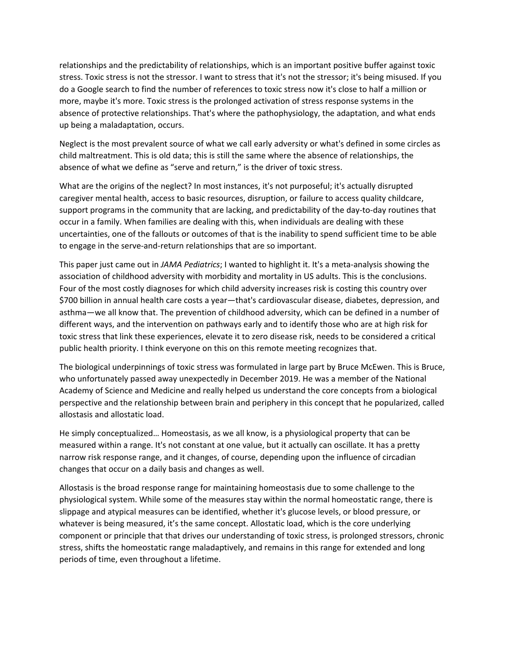relationships and the predictability of relationships, which is an important positive buffer against toxic stress. Toxic stress is not the stressor. I want to stress that it's not the stressor; it's being misused. If you do a Google search to find the number of references to toxic stress now it's close to half a million or more, maybe it's more. Toxic stress is the prolonged activation of stress response systems in the absence of protective relationships. That's where the pathophysiology, the adaptation, and what ends up being a maladaptation, occurs.

Neglect is the most prevalent source of what we call early adversity or what's defined in some circles as child maltreatment. This is old data; this is still the same where the absence of relationships, the absence of what we define as "serve and return," is the driver of toxic stress.

What are the origins of the neglect? In most instances, it's not purposeful; it's actually disrupted caregiver mental health, access to basic resources, disruption, or failure to access quality childcare, support programs in the community that are lacking, and predictability of the day-to-day routines that occur in a family. When families are dealing with this, when individuals are dealing with these uncertainties, one of the fallouts or outcomes of that is the inability to spend sufficient time to be able to engage in the serve‐and‐return relationships that are so important.

This paper just came out in *JAMA Pediatrics*; I wanted to highlight it. It's a meta‐analysis showing the association of childhood adversity with morbidity and mortality in US adults. This is the conclusions. Four of the most costly diagnoses for which child adversity increases risk is costing this country over \$700 billion in annual health care costs a year—that's cardiovascular disease, diabetes, depression, and asthma—we all know that. The prevention of childhood adversity, which can be defined in a number of different ways, and the intervention on pathways early and to identify those who are at high risk for toxic stress that link these experiences, elevate it to zero disease risk, needs to be considered a critical public health priority. I think everyone on this on this remote meeting recognizes that.

The biological underpinnings of toxic stress was formulated in large part by Bruce McEwen. This is Bruce, who unfortunately passed away unexpectedly in December 2019. He was a member of the National Academy of Science and Medicine and really helped us understand the core concepts from a biological perspective and the relationship between brain and periphery in this concept that he popularized, called allostasis and allostatic load.

He simply conceptualized… Homeostasis, as we all know, is a physiological property that can be measured within a range. It's not constant at one value, but it actually can oscillate. It has a pretty narrow risk response range, and it changes, of course, depending upon the influence of circadian changes that occur on a daily basis and changes as well.

Allostasis is the broad response range for maintaining homeostasis due to some challenge to the physiological system. While some of the measures stay within the normal homeostatic range, there is slippage and atypical measures can be identified, whether it's glucose levels, or blood pressure, or whatever is being measured, it's the same concept. Allostatic load, which is the core underlying component or principle that that drives our understanding of toxic stress, is prolonged stressors, chronic stress, shifts the homeostatic range maladaptively, and remains in this range for extended and long periods of time, even throughout a lifetime.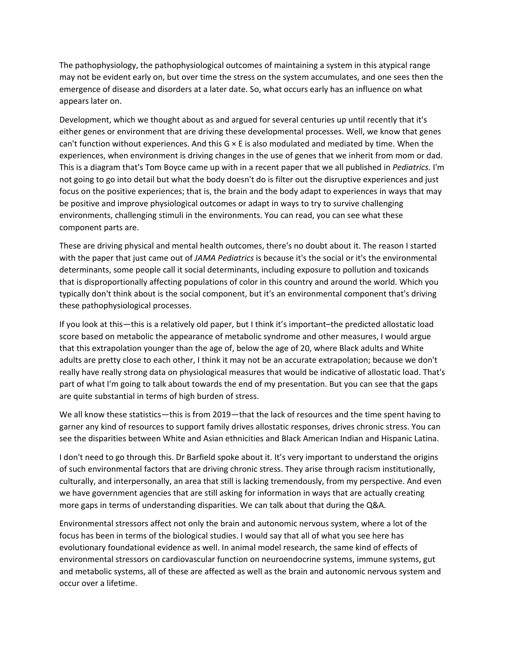The pathophysiology, the pathophysiological outcomes of maintaining a system in this atypical range may not be evident early on, but over time the stress on the system accumulates, and one sees then the emergence of disease and disorders at a later date. So, what occurs early has an influence on what appears later on.

Development, which we thought about as and argued for several centuries up until recently that it's either genes or environment that are driving these developmental processes. Well, we know that genes can't function without experiences. And this  $G \times E$  is also modulated and mediated by time. When the experiences, when environment is driving changes in the use of genes that we inherit from mom or dad. This is a diagram that's Tom Boyce came up with in a recent paper that we all published in *Pediatrics.* I'm not going to go into detail but what the body doesn't do is filter out the disruptive experiences and just focus on the positive experiences; that is, the brain and the body adapt to experiences in ways that may be positive and improve physiological outcomes or adapt in ways to try to survive challenging environments, challenging stimuli in the environments. You can read, you can see what these component parts are.

These are driving physical and mental health outcomes, there's no doubt about it. The reason I started with the paper that just came out of *JAMA Pediatrics* is because it's the social or it's the environmental determinants, some people call it social determinants, including exposure to pollution and toxicands that is disproportionally affecting populations of color in this country and around the world. Which you typically don't think about is the social component, but it's an environmental component that's driving these pathophysiological processes.

If you look at this—this is a relatively old paper, but I think it's important–the predicted allostatic load score based on metabolic the appearance of metabolic syndrome and other measures, I would argue that this extrapolation younger than the age of, below the age of 20, where Black adults and White adults are pretty close to each other, I think it may not be an accurate extrapolation; because we don't really have really strong data on physiological measures that would be indicative of allostatic load. That's part of what I'm going to talk about towards the end of my presentation. But you can see that the gaps are quite substantial in terms of high burden of stress.

We all know these statistics—this is from 2019—that the lack of resources and the time spent having to garner any kind of resources to support family drives allostatic responses, drives chronic stress. You can see the disparities between White and Asian ethnicities and Black American Indian and Hispanic Latina.

I don't need to go through this. Dr Barfield spoke about it. It's very important to understand the origins of such environmental factors that are driving chronic stress. They arise through racism institutionally, culturally, and interpersonally, an area that still is lacking tremendously, from my perspective. And even we have government agencies that are still asking for information in ways that are actually creating more gaps in terms of understanding disparities. We can talk about that during the Q&A.

Environmental stressors affect not only the brain and autonomic nervous system, where a lot of the focus has been in terms of the biological studies. I would say that all of what you see here has evolutionary foundational evidence as well. In animal model research, the same kind of effects of environmental stressors on cardiovascular function on neuroendocrine systems, immune systems, gut and metabolic systems, all of these are affected as well as the brain and autonomic nervous system and occur over a lifetime.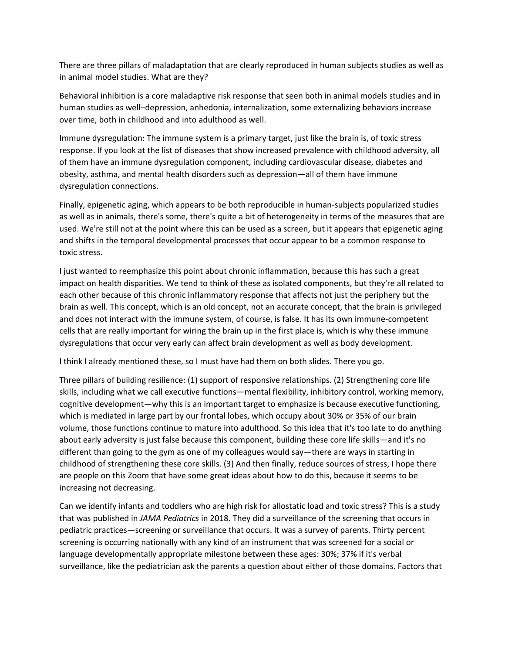There are three pillars of maladaptation that are clearly reproduced in human subjects studies as well as in animal model studies. What are they?

Behavioral inhibition is a core maladaptive risk response that seen both in animal models studies and in human studies as well–depression, anhedonia, internalization, some externalizing behaviors increase over time, both in childhood and into adulthood as well.

Immune dysregulation: The immune system is a primary target, just like the brain is, of toxic stress response. If you look at the list of diseases that show increased prevalence with childhood adversity, all of them have an immune dysregulation component, including cardiovascular disease, diabetes and obesity, asthma, and mental health disorders such as depression—all of them have immune dysregulation connections.

Finally, epigenetic aging, which appears to be both reproducible in human‐subjects popularized studies as well as in animals, there's some, there's quite a bit of heterogeneity in terms of the measures that are used. We're still not at the point where this can be used as a screen, but it appears that epigenetic aging and shifts in the temporal developmental processes that occur appear to be a common response to toxic stress.

I just wanted to reemphasize this point about chronic inflammation, because this has such a great impact on health disparities. We tend to think of these as isolated components, but they're all related to each other because of this chronic inflammatory response that affects not just the periphery but the brain as well. This concept, which is an old concept, not an accurate concept, that the brain is privileged and does not interact with the immune system, of course, is false. It has its own immune‐competent cells that are really important for wiring the brain up in the first place is, which is why these immune dysregulations that occur very early can affect brain development as well as body development.

I think I already mentioned these, so I must have had them on both slides. There you go.

Three pillars of building resilience: (1) support of responsive relationships. (2) Strengthening core life skills, including what we call executive functions—mental flexibility, inhibitory control, working memory, cognitive development—why this is an important target to emphasize is because executive functioning, which is mediated in large part by our frontal lobes, which occupy about 30% or 35% of our brain volume, those functions continue to mature into adulthood. So this idea that it's too late to do anything about early adversity is just false because this component, building these core life skills—and it's no different than going to the gym as one of my colleagues would say—there are ways in starting in childhood of strengthening these core skills. (3) And then finally, reduce sources of stress, I hope there are people on this Zoom that have some great ideas about how to do this, because it seems to be increasing not decreasing.

Can we identify infants and toddlers who are high risk for allostatic load and toxic stress? This is a study that was published in *JAMA Pediatrics* in 2018. They did a surveillance of the screening that occurs in pediatric practices—screening or surveillance that occurs. It was a survey of parents. Thirty percent screening is occurring nationally with any kind of an instrument that was screened for a social or language developmentally appropriate milestone between these ages: 30%; 37% if it's verbal surveillance, like the pediatrician ask the parents a question about either of those domains. Factors that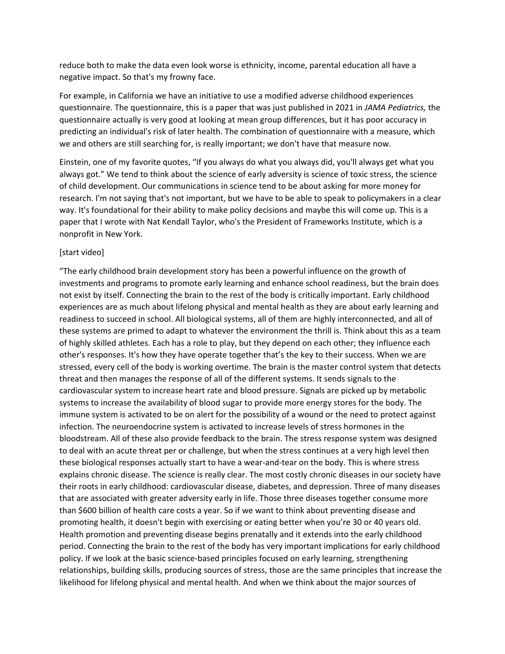reduce both to make the data even look worse is ethnicity, income, parental education all have a negative impact. So that's my frowny face.

For example, in California we have an initiative to use a modified adverse childhood experiences questionnaire. The questionnaire, this is a paper that was just published in 2021 in *JAMA Pediatrics,* the questionnaire actually is very good at looking at mean group differences, but it has poor accuracy in predicting an individual's risk of later health. The combination of questionnaire with a measure, which we and others are still searching for, is really important; we don't have that measure now.

Einstein, one of my favorite quotes, "If you always do what you always did, you'll always get what you always got." We tend to think about the science of early adversity is science of toxic stress, the science of child development. Our communications in science tend to be about asking for more money for research. I'm not saying that's not important, but we have to be able to speak to policymakers in a clear way. It's foundational for their ability to make policy decisions and maybe this will come up. This is a paper that I wrote with Nat Kendall Taylor, who's the President of Frameworks Institute, which is a nonprofit in New York.

### [start video]

"The early childhood brain development story has been a powerful influence on the growth of investments and programs to promote early learning and enhance school readiness, but the brain does not exist by itself. Connecting the brain to the rest of the body is critically important. Early childhood experiences are as much about lifelong physical and mental health as they are about early learning and readiness to succeed in school. All biological systems, all of them are highly interconnected, and all of these systems are primed to adapt to whatever the environment the thrill is. Think about this as a team of highly skilled athletes. Each has a role to play, but they depend on each other; they influence each other's responses. It's how they have operate together that's the key to their success. When we are stressed, every cell of the body is working overtime. The brain is the master control system that detects threat and then manages the response of all of the different systems. It sends signals to the cardiovascular system to increase heart rate and blood pressure. Signals are picked up by metabolic systems to increase the availability of blood sugar to provide more energy stores for the body. The immune system is activated to be on alert for the possibility of a wound or the need to protect against infection. The neuroendocrine system is activated to increase levels of stress hormones in the bloodstream. All of these also provide feedback to the brain. The stress response system was designed to deal with an acute threat per or challenge, but when the stress continues at a very high level then these biological responses actually start to have a wear‐and‐tear on the body. This is where stress explains chronic disease. The science is really clear. The most costly chronic diseases in our society have their roots in early childhood: cardiovascular disease, diabetes, and depression. Three of many diseases that are associated with greater adversity early in life. Those three diseases together consume more than \$600 billion of health care costs a year. So if we want to think about preventing disease and promoting health, it doesn't begin with exercising or eating better when you're 30 or 40 years old. Health promotion and preventing disease begins prenatally and it extends into the early childhood period. Connecting the brain to the rest of the body has very important implications for early childhood policy. If we look at the basic science‐based principles focused on early learning, strengthening relationships, building skills, producing sources of stress, those are the same principles that increase the likelihood for lifelong physical and mental health. And when we think about the major sources of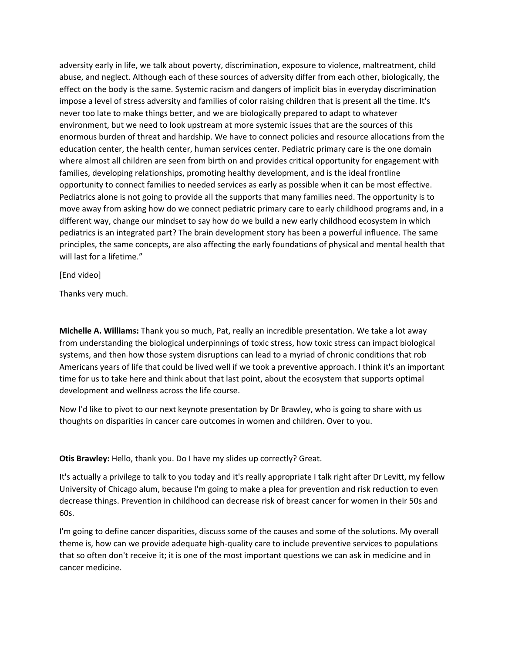adversity early in life, we talk about poverty, discrimination, exposure to violence, maltreatment, child abuse, and neglect. Although each of these sources of adversity differ from each other, biologically, the effect on the body is the same. Systemic racism and dangers of implicit bias in everyday discrimination impose a level of stress adversity and families of color raising children that is present all the time. It's never too late to make things better, and we are biologically prepared to adapt to whatever environment, but we need to look upstream at more systemic issues that are the sources of this enormous burden of threat and hardship. We have to connect policies and resource allocations from the education center, the health center, human services center. Pediatric primary care is the one domain where almost all children are seen from birth on and provides critical opportunity for engagement with families, developing relationships, promoting healthy development, and is the ideal frontline opportunity to connect families to needed services as early as possible when it can be most effective. Pediatrics alone is not going to provide all the supports that many families need. The opportunity is to move away from asking how do we connect pediatric primary care to early childhood programs and, in a different way, change our mindset to say how do we build a new early childhood ecosystem in which pediatrics is an integrated part? The brain development story has been a powerful influence. The same principles, the same concepts, are also affecting the early foundations of physical and mental health that will last for a lifetime."

[End video]

Thanks very much.

**Michelle A. Williams:** Thank you so much, Pat, really an incredible presentation. We take a lot away from understanding the biological underpinnings of toxic stress, how toxic stress can impact biological systems, and then how those system disruptions can lead to a myriad of chronic conditions that rob Americans years of life that could be lived well if we took a preventive approach. I think it's an important time for us to take here and think about that last point, about the ecosystem that supports optimal development and wellness across the life course.

Now I'd like to pivot to our next keynote presentation by Dr Brawley, who is going to share with us thoughts on disparities in cancer care outcomes in women and children. Over to you.

**Otis Brawley:** Hello, thank you. Do I have my slides up correctly? Great.

It's actually a privilege to talk to you today and it's really appropriate I talk right after Dr Levitt, my fellow University of Chicago alum, because I'm going to make a plea for prevention and risk reduction to even decrease things. Prevention in childhood can decrease risk of breast cancer for women in their 50s and 60s.

I'm going to define cancer disparities, discuss some of the causes and some of the solutions. My overall theme is, how can we provide adequate high‐quality care to include preventive services to populations that so often don't receive it; it is one of the most important questions we can ask in medicine and in cancer medicine.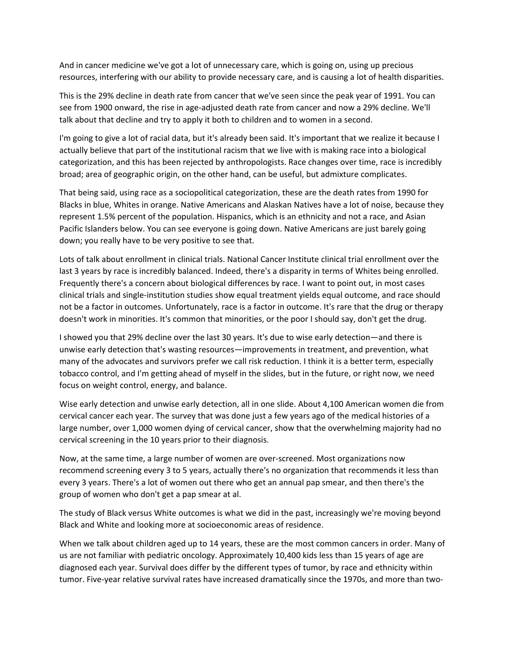And in cancer medicine we've got a lot of unnecessary care, which is going on, using up precious resources, interfering with our ability to provide necessary care, and is causing a lot of health disparities.

This is the 29% decline in death rate from cancer that we've seen since the peak year of 1991. You can see from 1900 onward, the rise in age‐adjusted death rate from cancer and now a 29% decline. We'll talk about that decline and try to apply it both to children and to women in a second.

I'm going to give a lot of racial data, but it's already been said. It's important that we realize it because I actually believe that part of the institutional racism that we live with is making race into a biological categorization, and this has been rejected by anthropologists. Race changes over time, race is incredibly broad; area of geographic origin, on the other hand, can be useful, but admixture complicates.

That being said, using race as a sociopolitical categorization, these are the death rates from 1990 for Blacks in blue, Whites in orange. Native Americans and Alaskan Natives have a lot of noise, because they represent 1.5% percent of the population. Hispanics, which is an ethnicity and not a race, and Asian Pacific Islanders below. You can see everyone is going down. Native Americans are just barely going down; you really have to be very positive to see that.

Lots of talk about enrollment in clinical trials. National Cancer Institute clinical trial enrollment over the last 3 years by race is incredibly balanced. Indeed, there's a disparity in terms of Whites being enrolled. Frequently there's a concern about biological differences by race. I want to point out, in most cases clinical trials and single‐institution studies show equal treatment yields equal outcome, and race should not be a factor in outcomes. Unfortunately, race is a factor in outcome. It's rare that the drug or therapy doesn't work in minorities. It's common that minorities, or the poor I should say, don't get the drug.

I showed you that 29% decline over the last 30 years. It's due to wise early detection—and there is unwise early detection that's wasting resources—improvements in treatment, and prevention, what many of the advocates and survivors prefer we call risk reduction. I think it is a better term, especially tobacco control, and I'm getting ahead of myself in the slides, but in the future, or right now, we need focus on weight control, energy, and balance.

Wise early detection and unwise early detection, all in one slide. About 4,100 American women die from cervical cancer each year. The survey that was done just a few years ago of the medical histories of a large number, over 1,000 women dying of cervical cancer, show that the overwhelming majority had no cervical screening in the 10 years prior to their diagnosis.

Now, at the same time, a large number of women are over‐screened. Most organizations now recommend screening every 3 to 5 years, actually there's no organization that recommends it less than every 3 years. There's a lot of women out there who get an annual pap smear, and then there's the group of women who don't get a pap smear at al.

The study of Black versus White outcomes is what we did in the past, increasingly we're moving beyond Black and White and looking more at socioeconomic areas of residence.

When we talk about children aged up to 14 years, these are the most common cancers in order. Many of us are not familiar with pediatric oncology. Approximately 10,400 kids less than 15 years of age are diagnosed each year. Survival does differ by the different types of tumor, by race and ethnicity within tumor. Five-year relative survival rates have increased dramatically since the 1970s, and more than two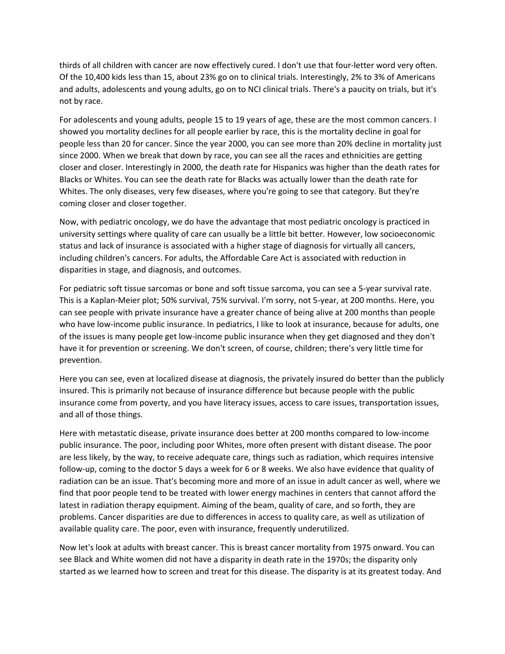thirds of all children with cancer are now effectively cured. I don't use that four‐letter word very often. Of the 10,400 kids less than 15, about 23% go on to clinical trials. Interestingly, 2% to 3% of Americans and adults, adolescents and young adults, go on to NCI clinical trials. There's a paucity on trials, but it's not by race.

For adolescents and young adults, people 15 to 19 years of age, these are the most common cancers. I showed you mortality declines for all people earlier by race, this is the mortality decline in goal for people less than 20 for cancer. Since the year 2000, you can see more than 20% decline in mortality just since 2000. When we break that down by race, you can see all the races and ethnicities are getting closer and closer. Interestingly in 2000, the death rate for Hispanics was higher than the death rates for Blacks or Whites. You can see the death rate for Blacks was actually lower than the death rate for Whites. The only diseases, very few diseases, where you're going to see that category. But they're coming closer and closer together.

Now, with pediatric oncology, we do have the advantage that most pediatric oncology is practiced in university settings where quality of care can usually be a little bit better. However, low socioeconomic status and lack of insurance is associated with a higher stage of diagnosis for virtually all cancers, including children's cancers. For adults, the Affordable Care Act is associated with reduction in disparities in stage, and diagnosis, and outcomes.

For pediatric soft tissue sarcomas or bone and soft tissue sarcoma, you can see a 5‐year survival rate. This is a Kaplan‐Meier plot; 50% survival, 75% survival. I'm sorry, not 5‐year, at 200 months. Here, you can see people with private insurance have a greater chance of being alive at 200 months than people who have low-income public insurance. In pediatrics, I like to look at insurance, because for adults, one of the issues is many people get low‐income public insurance when they get diagnosed and they don't have it for prevention or screening. We don't screen, of course, children; there's very little time for prevention.

Here you can see, even at localized disease at diagnosis, the privately insured do better than the publicly insured. This is primarily not because of insurance difference but because people with the public insurance come from poverty, and you have literacy issues, access to care issues, transportation issues, and all of those things.

Here with metastatic disease, private insurance does better at 200 months compared to low‐income public insurance. The poor, including poor Whites, more often present with distant disease. The poor are less likely, by the way, to receive adequate care, things such as radiation, which requires intensive follow‐up, coming to the doctor 5 days a week for 6 or 8 weeks. We also have evidence that quality of radiation can be an issue. That's becoming more and more of an issue in adult cancer as well, where we find that poor people tend to be treated with lower energy machines in centers that cannot afford the latest in radiation therapy equipment. Aiming of the beam, quality of care, and so forth, they are problems. Cancer disparities are due to differences in access to quality care, as well as utilization of available quality care. The poor, even with insurance, frequently underutilized.

Now let's look at adults with breast cancer. This is breast cancer mortality from 1975 onward. You can see Black and White women did not have a disparity in death rate in the 1970s; the disparity only started as we learned how to screen and treat for this disease. The disparity is at its greatest today. And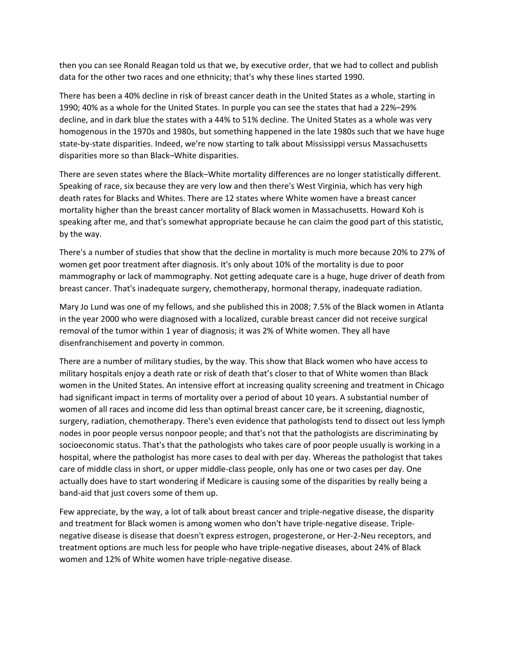then you can see Ronald Reagan told us that we, by executive order, that we had to collect and publish data for the other two races and one ethnicity; that's why these lines started 1990.

There has been a 40% decline in risk of breast cancer death in the United States as a whole, starting in 1990; 40% as a whole for the United States. In purple you can see the states that had a 22%–29% decline, and in dark blue the states with a 44% to 51% decline. The United States as a whole was very homogenous in the 1970s and 1980s, but something happened in the late 1980s such that we have huge state‐by‐state disparities. Indeed, we're now starting to talk about Mississippi versus Massachusetts disparities more so than Black–White disparities.

There are seven states where the Black–White mortality differences are no longer statistically different. Speaking of race, six because they are very low and then there's West Virginia, which has very high death rates for Blacks and Whites. There are 12 states where White women have a breast cancer mortality higher than the breast cancer mortality of Black women in Massachusetts. Howard Koh is speaking after me, and that's somewhat appropriate because he can claim the good part of this statistic, by the way.

There's a number of studies that show that the decline in mortality is much more because 20% to 27% of women get poor treatment after diagnosis. It's only about 10% of the mortality is due to poor mammography or lack of mammography. Not getting adequate care is a huge, huge driver of death from breast cancer. That's inadequate surgery, chemotherapy, hormonal therapy, inadequate radiation.

Mary Jo Lund was one of my fellows, and she published this in 2008; 7.5% of the Black women in Atlanta in the year 2000 who were diagnosed with a localized, curable breast cancer did not receive surgical removal of the tumor within 1 year of diagnosis; it was 2% of White women. They all have disenfranchisement and poverty in common.

There are a number of military studies, by the way. This show that Black women who have access to military hospitals enjoy a death rate or risk of death that's closer to that of White women than Black women in the United States. An intensive effort at increasing quality screening and treatment in Chicago had significant impact in terms of mortality over a period of about 10 years. A substantial number of women of all races and income did less than optimal breast cancer care, be it screening, diagnostic, surgery, radiation, chemotherapy. There's even evidence that pathologists tend to dissect out less lymph nodes in poor people versus nonpoor people; and that's not that the pathologists are discriminating by socioeconomic status. That's that the pathologists who takes care of poor people usually is working in a hospital, where the pathologist has more cases to deal with per day. Whereas the pathologist that takes care of middle class in short, or upper middle‐class people, only has one or two cases per day. One actually does have to start wondering if Medicare is causing some of the disparities by really being a band‐aid that just covers some of them up.

Few appreciate, by the way, a lot of talk about breast cancer and triple‐negative disease, the disparity and treatment for Black women is among women who don't have triple‐negative disease. Triple‐ negative disease is disease that doesn't express estrogen, progesterone, or Her‐2‐Neu receptors, and treatment options are much less for people who have triple‐negative diseases, about 24% of Black women and 12% of White women have triple‐negative disease.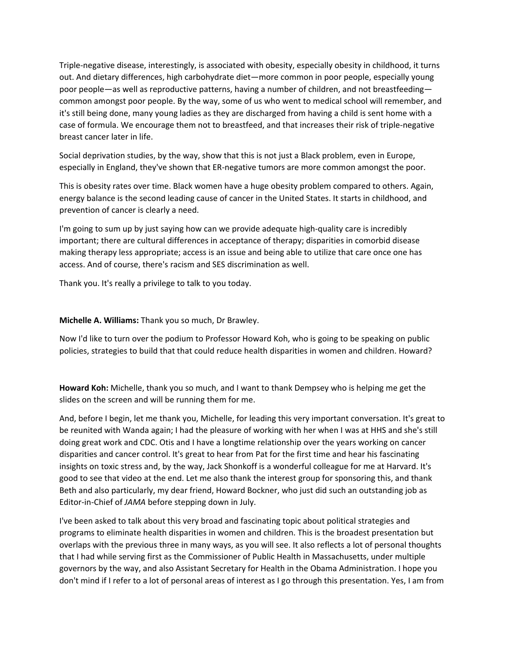Triple‐negative disease, interestingly, is associated with obesity, especially obesity in childhood, it turns out. And dietary differences, high carbohydrate diet—more common in poor people, especially young poor people—as well as reproductive patterns, having a number of children, and not breastfeeding common amongst poor people. By the way, some of us who went to medical school will remember, and it's still being done, many young ladies as they are discharged from having a child is sent home with a case of formula. We encourage them not to breastfeed, and that increases their risk of triple‐negative breast cancer later in life.

Social deprivation studies, by the way, show that this is not just a Black problem, even in Europe, especially in England, they've shown that ER‐negative tumors are more common amongst the poor.

This is obesity rates over time. Black women have a huge obesity problem compared to others. Again, energy balance is the second leading cause of cancer in the United States. It starts in childhood, and prevention of cancer is clearly a need.

I'm going to sum up by just saying how can we provide adequate high‐quality care is incredibly important; there are cultural differences in acceptance of therapy; disparities in comorbid disease making therapy less appropriate; access is an issue and being able to utilize that care once one has access. And of course, there's racism and SES discrimination as well.

Thank you. It's really a privilege to talk to you today.

## **Michelle A. Williams:** Thank you so much, Dr Brawley.

Now I'd like to turn over the podium to Professor Howard Koh, who is going to be speaking on public policies, strategies to build that that could reduce health disparities in women and children. Howard?

**Howard Koh:** Michelle, thank you so much, and I want to thank Dempsey who is helping me get the slides on the screen and will be running them for me.

And, before I begin, let me thank you, Michelle, for leading this very important conversation. It's great to be reunited with Wanda again; I had the pleasure of working with her when I was at HHS and she's still doing great work and CDC. Otis and I have a longtime relationship over the years working on cancer disparities and cancer control. It's great to hear from Pat for the first time and hear his fascinating insights on toxic stress and, by the way, Jack Shonkoff is a wonderful colleague for me at Harvard. It's good to see that video at the end. Let me also thank the interest group for sponsoring this, and thank Beth and also particularly, my dear friend, Howard Bockner, who just did such an outstanding job as Editor‐in‐Chief of *JAMA* before stepping down in July.

I've been asked to talk about this very broad and fascinating topic about political strategies and programs to eliminate health disparities in women and children. This is the broadest presentation but overlaps with the previous three in many ways, as you will see. It also reflects a lot of personal thoughts that I had while serving first as the Commissioner of Public Health in Massachusetts, under multiple governors by the way, and also Assistant Secretary for Health in the Obama Administration. I hope you don't mind if I refer to a lot of personal areas of interest as I go through this presentation. Yes, I am from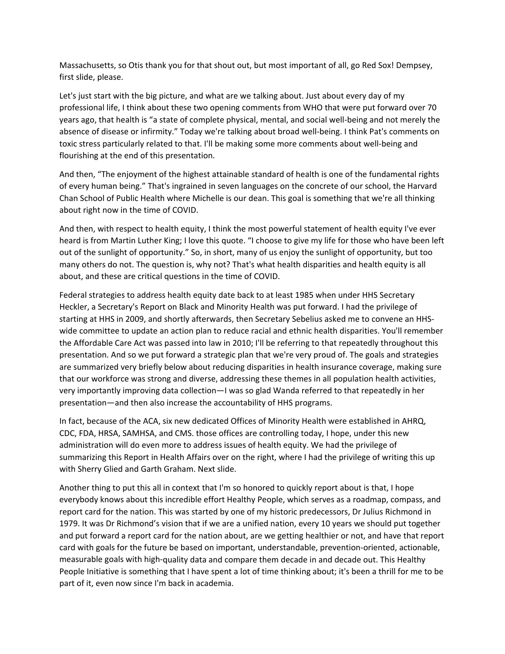Massachusetts, so Otis thank you for that shout out, but most important of all, go Red Sox! Dempsey, first slide, please.

Let's just start with the big picture, and what are we talking about. Just about every day of my professional life, I think about these two opening comments from WHO that were put forward over 70 years ago, that health is "a state of complete physical, mental, and social well‐being and not merely the absence of disease or infirmity." Today we're talking about broad well‐being. I think Pat's comments on toxic stress particularly related to that. I'll be making some more comments about well‐being and flourishing at the end of this presentation.

And then, "The enjoyment of the highest attainable standard of health is one of the fundamental rights of every human being." That's ingrained in seven languages on the concrete of our school, the Harvard Chan School of Public Health where Michelle is our dean. This goal is something that we're all thinking about right now in the time of COVID.

And then, with respect to health equity, I think the most powerful statement of health equity I've ever heard is from Martin Luther King; I love this quote. "I choose to give my life for those who have been left out of the sunlight of opportunity." So, in short, many of us enjoy the sunlight of opportunity, but too many others do not. The question is, why not? That's what health disparities and health equity is all about, and these are critical questions in the time of COVID.

Federal strategies to address health equity date back to at least 1985 when under HHS Secretary Heckler, a Secretary's Report on Black and Minority Health was put forward. I had the privilege of starting at HHS in 2009, and shortly afterwards, then Secretary Sebelius asked me to convene an HHS‐ wide committee to update an action plan to reduce racial and ethnic health disparities. You'll remember the Affordable Care Act was passed into law in 2010; I'll be referring to that repeatedly throughout this presentation. And so we put forward a strategic plan that we're very proud of. The goals and strategies are summarized very briefly below about reducing disparities in health insurance coverage, making sure that our workforce was strong and diverse, addressing these themes in all population health activities, very importantly improving data collection—I was so glad Wanda referred to that repeatedly in her presentation—and then also increase the accountability of HHS programs.

In fact, because of the ACA, six new dedicated Offices of Minority Health were established in AHRQ, CDC, FDA, HRSA, SAMHSA, and CMS. those offices are controlling today, I hope, under this new administration will do even more to address issues of health equity. We had the privilege of summarizing this Report in Health Affairs over on the right, where I had the privilege of writing this up with Sherry Glied and Garth Graham. Next slide.

Another thing to put this all in context that I'm so honored to quickly report about is that, I hope everybody knows about this incredible effort Healthy People, which serves as a roadmap, compass, and report card for the nation. This was started by one of my historic predecessors, Dr Julius Richmond in 1979. It was Dr Richmond's vision that if we are a unified nation, every 10 years we should put together and put forward a report card for the nation about, are we getting healthier or not, and have that report card with goals for the future be based on important, understandable, prevention‐oriented, actionable, measurable goals with high‐quality data and compare them decade in and decade out. This Healthy People Initiative is something that I have spent a lot of time thinking about; it's been a thrill for me to be part of it, even now since I'm back in academia.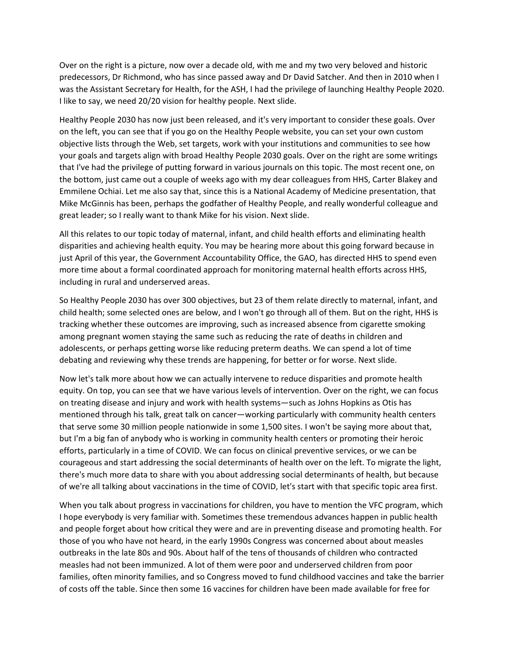Over on the right is a picture, now over a decade old, with me and my two very beloved and historic predecessors, Dr Richmond, who has since passed away and Dr David Satcher. And then in 2010 when I was the Assistant Secretary for Health, for the ASH, I had the privilege of launching Healthy People 2020. I like to say, we need 20/20 vision for healthy people. Next slide.

Healthy People 2030 has now just been released, and it's very important to consider these goals. Over on the left, you can see that if you go on the Healthy People website, you can set your own custom objective lists through the Web, set targets, work with your institutions and communities to see how your goals and targets align with broad Healthy People 2030 goals. Over on the right are some writings that I've had the privilege of putting forward in various journals on this topic. The most recent one, on the bottom, just came out a couple of weeks ago with my dear colleagues from HHS, Carter Blakey and Emmilene Ochiai. Let me also say that, since this is a National Academy of Medicine presentation, that Mike McGinnis has been, perhaps the godfather of Healthy People, and really wonderful colleague and great leader; so I really want to thank Mike for his vision. Next slide.

All this relates to our topic today of maternal, infant, and child health efforts and eliminating health disparities and achieving health equity. You may be hearing more about this going forward because in just April of this year, the Government Accountability Office, the GAO, has directed HHS to spend even more time about a formal coordinated approach for monitoring maternal health efforts across HHS, including in rural and underserved areas.

So Healthy People 2030 has over 300 objectives, but 23 of them relate directly to maternal, infant, and child health; some selected ones are below, and I won't go through all of them. But on the right, HHS is tracking whether these outcomes are improving, such as increased absence from cigarette smoking among pregnant women staying the same such as reducing the rate of deaths in children and adolescents, or perhaps getting worse like reducing preterm deaths. We can spend a lot of time debating and reviewing why these trends are happening, for better or for worse. Next slide.

Now let's talk more about how we can actually intervene to reduce disparities and promote health equity. On top, you can see that we have various levels of intervention. Over on the right, we can focus on treating disease and injury and work with health systems—such as Johns Hopkins as Otis has mentioned through his talk, great talk on cancer—working particularly with community health centers that serve some 30 million people nationwide in some 1,500 sites. I won't be saying more about that, but I'm a big fan of anybody who is working in community health centers or promoting their heroic efforts, particularly in a time of COVID. We can focus on clinical preventive services, or we can be courageous and start addressing the social determinants of health over on the left. To migrate the light, there's much more data to share with you about addressing social determinants of health, but because of we're all talking about vaccinations in the time of COVID, let's start with that specific topic area first.

When you talk about progress in vaccinations for children, you have to mention the VFC program, which I hope everybody is very familiar with. Sometimes these tremendous advances happen in public health and people forget about how critical they were and are in preventing disease and promoting health. For those of you who have not heard, in the early 1990s Congress was concerned about about measles outbreaks in the late 80s and 90s. About half of the tens of thousands of children who contracted measles had not been immunized. A lot of them were poor and underserved children from poor families, often minority families, and so Congress moved to fund childhood vaccines and take the barrier of costs off the table. Since then some 16 vaccines for children have been made available for free for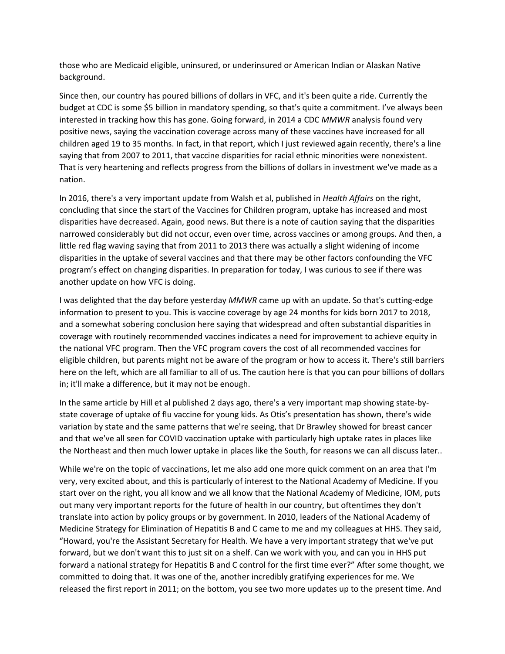those who are Medicaid eligible, uninsured, or underinsured or American Indian or Alaskan Native background.

Since then, our country has poured billions of dollars in VFC, and it's been quite a ride. Currently the budget at CDC is some \$5 billion in mandatory spending, so that's quite a commitment. I've always been interested in tracking how this has gone. Going forward, in 2014 a CDC *MMWR* analysis found very positive news, saying the vaccination coverage across many of these vaccines have increased for all children aged 19 to 35 months. In fact, in that report, which I just reviewed again recently, there's a line saying that from 2007 to 2011, that vaccine disparities for racial ethnic minorities were nonexistent. That is very heartening and reflects progress from the billions of dollars in investment we've made as a nation.

In 2016, there's a very important update from Walsh et al, published in *Health Affairs* on the right, concluding that since the start of the Vaccines for Children program, uptake has increased and most disparities have decreased. Again, good news. But there is a note of caution saying that the disparities narrowed considerably but did not occur, even over time, across vaccines or among groups. And then, a little red flag waving saying that from 2011 to 2013 there was actually a slight widening of income disparities in the uptake of several vaccines and that there may be other factors confounding the VFC program's effect on changing disparities. In preparation for today, I was curious to see if there was another update on how VFC is doing.

I was delighted that the day before yesterday *MMWR* came up with an update. So that's cutting‐edge information to present to you. This is vaccine coverage by age 24 months for kids born 2017 to 2018, and a somewhat sobering conclusion here saying that widespread and often substantial disparities in coverage with routinely recommended vaccines indicates a need for improvement to achieve equity in the national VFC program. Then the VFC program covers the cost of all recommended vaccines for eligible children, but parents might not be aware of the program or how to access it. There's still barriers here on the left, which are all familiar to all of us. The caution here is that you can pour billions of dollars in; it'll make a difference, but it may not be enough.

In the same article by Hill et al published 2 days ago, there's a very important map showing state‐by‐ state coverage of uptake of flu vaccine for young kids. As Otis's presentation has shown, there's wide variation by state and the same patterns that we're seeing, that Dr Brawley showed for breast cancer and that we've all seen for COVID vaccination uptake with particularly high uptake rates in places like the Northeast and then much lower uptake in places like the South, for reasons we can all discuss later..

While we're on the topic of vaccinations, let me also add one more quick comment on an area that I'm very, very excited about, and this is particularly of interest to the National Academy of Medicine. If you start over on the right, you all know and we all know that the National Academy of Medicine, IOM, puts out many very important reports for the future of health in our country, but oftentimes they don't translate into action by policy groups or by government. In 2010, leaders of the National Academy of Medicine Strategy for Elimination of Hepatitis B and C came to me and my colleagues at HHS. They said, "Howard, you're the Assistant Secretary for Health. We have a very important strategy that we've put forward, but we don't want this to just sit on a shelf. Can we work with you, and can you in HHS put forward a national strategy for Hepatitis B and C control for the first time ever?" After some thought, we committed to doing that. It was one of the, another incredibly gratifying experiences for me. We released the first report in 2011; on the bottom, you see two more updates up to the present time. And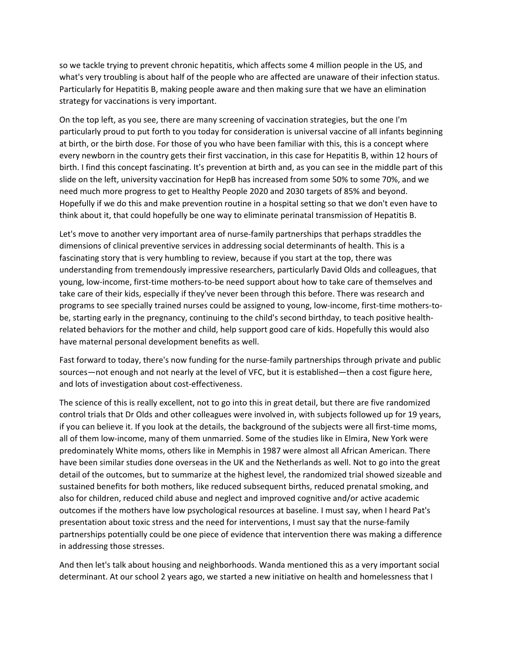so we tackle trying to prevent chronic hepatitis, which affects some 4 million people in the US, and what's very troubling is about half of the people who are affected are unaware of their infection status. Particularly for Hepatitis B, making people aware and then making sure that we have an elimination strategy for vaccinations is very important.

On the top left, as you see, there are many screening of vaccination strategies, but the one I'm particularly proud to put forth to you today for consideration is universal vaccine of all infants beginning at birth, or the birth dose. For those of you who have been familiar with this, this is a concept where every newborn in the country gets their first vaccination, in this case for Hepatitis B, within 12 hours of birth. I find this concept fascinating. It's prevention at birth and, as you can see in the middle part of this slide on the left, university vaccination for HepB has increased from some 50% to some 70%, and we need much more progress to get to Healthy People 2020 and 2030 targets of 85% and beyond. Hopefully if we do this and make prevention routine in a hospital setting so that we don't even have to think about it, that could hopefully be one way to eliminate perinatal transmission of Hepatitis B.

Let's move to another very important area of nurse-family partnerships that perhaps straddles the dimensions of clinical preventive services in addressing social determinants of health. This is a fascinating story that is very humbling to review, because if you start at the top, there was understanding from tremendously impressive researchers, particularly David Olds and colleagues, that young, low-income, first-time mothers-to-be need support about how to take care of themselves and take care of their kids, especially if they've never been through this before. There was research and programs to see specially trained nurses could be assigned to young, low-income, first-time mothers-tobe, starting early in the pregnancy, continuing to the child's second birthday, to teach positive healthrelated behaviors for the mother and child, help support good care of kids. Hopefully this would also have maternal personal development benefits as well.

Fast forward to today, there's now funding for the nurse-family partnerships through private and public sources—not enough and not nearly at the level of VFC, but it is established—then a cost figure here, and lots of investigation about cost‐effectiveness.

The science of this is really excellent, not to go into this in great detail, but there are five randomized control trials that Dr Olds and other colleagues were involved in, with subjects followed up for 19 years, if you can believe it. If you look at the details, the background of the subjects were all first‐time moms, all of them low‐income, many of them unmarried. Some of the studies like in Elmira, New York were predominately White moms, others like in Memphis in 1987 were almost all African American. There have been similar studies done overseas in the UK and the Netherlands as well. Not to go into the great detail of the outcomes, but to summarize at the highest level, the randomized trial showed sizeable and sustained benefits for both mothers, like reduced subsequent births, reduced prenatal smoking, and also for children, reduced child abuse and neglect and improved cognitive and/or active academic outcomes if the mothers have low psychological resources at baseline. I must say, when I heard Pat's presentation about toxic stress and the need for interventions, I must say that the nurse-family partnerships potentially could be one piece of evidence that intervention there was making a difference in addressing those stresses.

And then let's talk about housing and neighborhoods. Wanda mentioned this as a very important social determinant. At our school 2 years ago, we started a new initiative on health and homelessness that I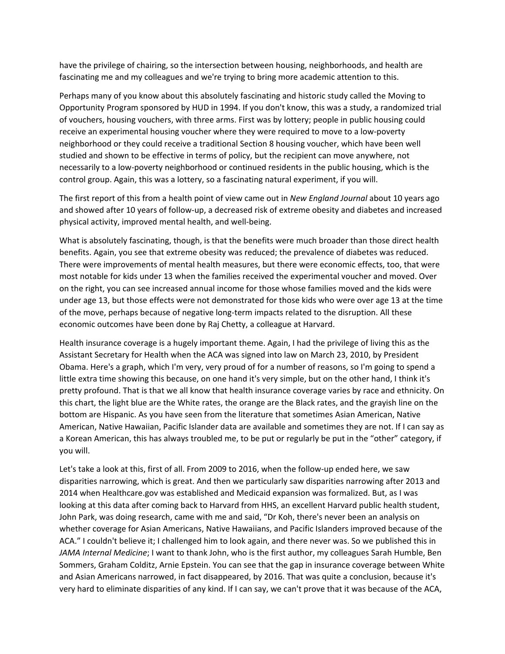have the privilege of chairing, so the intersection between housing, neighborhoods, and health are fascinating me and my colleagues and we're trying to bring more academic attention to this.

Perhaps many of you know about this absolutely fascinating and historic study called the Moving to Opportunity Program sponsored by HUD in 1994. If you don't know, this was a study, a randomized trial of vouchers, housing vouchers, with three arms. First was by lottery; people in public housing could receive an experimental housing voucher where they were required to move to a low‐poverty neighborhood or they could receive a traditional Section 8 housing voucher, which have been well studied and shown to be effective in terms of policy, but the recipient can move anywhere, not necessarily to a low‐poverty neighborhood or continued residents in the public housing, which is the control group. Again, this was a lottery, so a fascinating natural experiment, if you will.

The first report of this from a health point of view came out in *New England Journal* about 10 years ago and showed after 10 years of follow‐up, a decreased risk of extreme obesity and diabetes and increased physical activity, improved mental health, and well‐being.

What is absolutely fascinating, though, is that the benefits were much broader than those direct health benefits. Again, you see that extreme obesity was reduced; the prevalence of diabetes was reduced. There were improvements of mental health measures, but there were economic effects, too, that were most notable for kids under 13 when the families received the experimental voucher and moved. Over on the right, you can see increased annual income for those whose families moved and the kids were under age 13, but those effects were not demonstrated for those kids who were over age 13 at the time of the move, perhaps because of negative long‐term impacts related to the disruption. All these economic outcomes have been done by Raj Chetty, a colleague at Harvard.

Health insurance coverage is a hugely important theme. Again, I had the privilege of living this as the Assistant Secretary for Health when the ACA was signed into law on March 23, 2010, by President Obama. Here's a graph, which I'm very, very proud of for a number of reasons, so I'm going to spend a little extra time showing this because, on one hand it's very simple, but on the other hand, I think it's pretty profound. That is that we all know that health insurance coverage varies by race and ethnicity. On this chart, the light blue are the White rates, the orange are the Black rates, and the grayish line on the bottom are Hispanic. As you have seen from the literature that sometimes Asian American, Native American, Native Hawaiian, Pacific Islander data are available and sometimes they are not. If I can say as a Korean American, this has always troubled me, to be put or regularly be put in the "other" category, if you will.

Let's take a look at this, first of all. From 2009 to 2016, when the follow‐up ended here, we saw disparities narrowing, which is great. And then we particularly saw disparities narrowing after 2013 and 2014 when Healthcare.gov was established and Medicaid expansion was formalized. But, as I was looking at this data after coming back to Harvard from HHS, an excellent Harvard public health student, John Park, was doing research, came with me and said, "Dr Koh, there's never been an analysis on whether coverage for Asian Americans, Native Hawaiians, and Pacific Islanders improved because of the ACA." I couldn't believe it; I challenged him to look again, and there never was. So we published this in *JAMA Internal Medicine*; I want to thank John, who is the first author, my colleagues Sarah Humble, Ben Sommers, Graham Colditz, Arnie Epstein. You can see that the gap in insurance coverage between White and Asian Americans narrowed, in fact disappeared, by 2016. That was quite a conclusion, because it's very hard to eliminate disparities of any kind. If I can say, we can't prove that it was because of the ACA,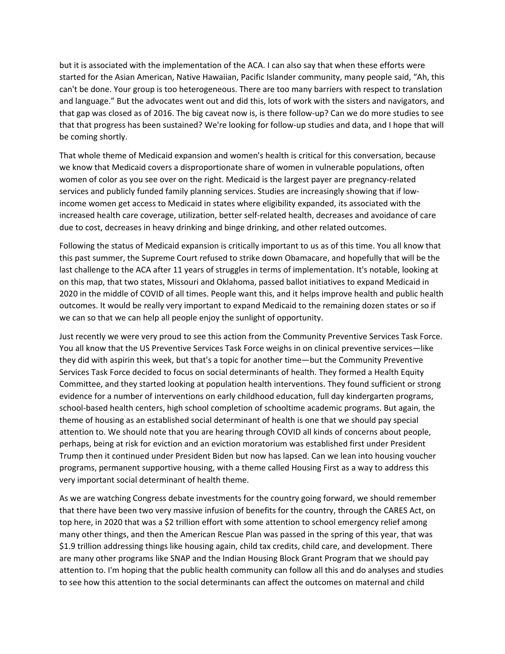but it is associated with the implementation of the ACA. I can also say that when these efforts were started for the Asian American, Native Hawaiian, Pacific Islander community, many people said, "Ah, this can't be done. Your group is too heterogeneous. There are too many barriers with respect to translation and language." But the advocates went out and did this, lots of work with the sisters and navigators, and that gap was closed as of 2016. The big caveat now is, is there follow‐up? Can we do more studies to see that that progress has been sustained? We're looking for follow‐up studies and data, and I hope that will be coming shortly.

That whole theme of Medicaid expansion and women's health is critical for this conversation, because we know that Medicaid covers a disproportionate share of women in vulnerable populations, often women of color as you see over on the right. Medicaid is the largest payer are pregnancy-related services and publicly funded family planning services. Studies are increasingly showing that if lowincome women get access to Medicaid in states where eligibility expanded, its associated with the increased health care coverage, utilization, better self‐related health, decreases and avoidance of care due to cost, decreases in heavy drinking and binge drinking, and other related outcomes.

Following the status of Medicaid expansion is critically important to us as of this time. You all know that this past summer, the Supreme Court refused to strike down Obamacare, and hopefully that will be the last challenge to the ACA after 11 years of struggles in terms of implementation. It's notable, looking at on this map, that two states, Missouri and Oklahoma, passed ballot initiatives to expand Medicaid in 2020 in the middle of COVID of all times. People want this, and it helps improve health and public health outcomes. It would be really very important to expand Medicaid to the remaining dozen states or so if we can so that we can help all people enjoy the sunlight of opportunity.

Just recently we were very proud to see this action from the Community Preventive Services Task Force. You all know that the US Preventive Services Task Force weighs in on clinical preventive services—like they did with aspirin this week, but that's a topic for another time—but the Community Preventive Services Task Force decided to focus on social determinants of health. They formed a Health Equity Committee, and they started looking at population health interventions. They found sufficient or strong evidence for a number of interventions on early childhood education, full day kindergarten programs, school‐based health centers, high school completion of schooltime academic programs. But again, the theme of housing as an established social determinant of health is one that we should pay special attention to. We should note that you are hearing through COVID all kinds of concerns about people, perhaps, being at risk for eviction and an eviction moratorium was established first under President Trump then it continued under President Biden but now has lapsed. Can we lean into housing voucher programs, permanent supportive housing, with a theme called Housing First as a way to address this very important social determinant of health theme.

As we are watching Congress debate investments for the country going forward, we should remember that there have been two very massive infusion of benefits for the country, through the CARES Act, on top here, in 2020 that was a \$2 trillion effort with some attention to school emergency relief among many other things, and then the American Rescue Plan was passed in the spring of this year, that was \$1.9 trillion addressing things like housing again, child tax credits, child care, and development. There are many other programs like SNAP and the Indian Housing Block Grant Program that we should pay attention to. I'm hoping that the public health community can follow all this and do analyses and studies to see how this attention to the social determinants can affect the outcomes on maternal and child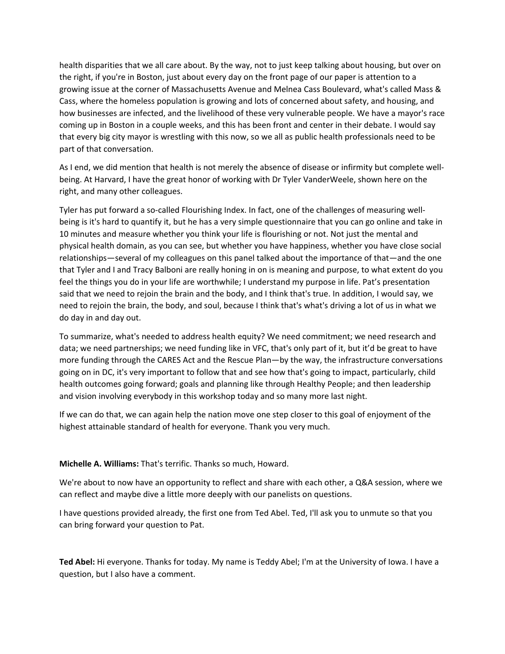health disparities that we all care about. By the way, not to just keep talking about housing, but over on the right, if you're in Boston, just about every day on the front page of our paper is attention to a growing issue at the corner of Massachusetts Avenue and Melnea Cass Boulevard, what's called Mass & Cass, where the homeless population is growing and lots of concerned about safety, and housing, and how businesses are infected, and the livelihood of these very vulnerable people. We have a mayor's race coming up in Boston in a couple weeks, and this has been front and center in their debate. I would say that every big city mayor is wrestling with this now, so we all as public health professionals need to be part of that conversation.

As I end, we did mention that health is not merely the absence of disease or infirmity but complete well‐ being. At Harvard, I have the great honor of working with Dr Tyler VanderWeele, shown here on the right, and many other colleagues.

Tyler has put forward a so-called Flourishing Index. In fact, one of the challenges of measuring wellbeing is it's hard to quantify it, but he has a very simple questionnaire that you can go online and take in 10 minutes and measure whether you think your life is flourishing or not. Not just the mental and physical health domain, as you can see, but whether you have happiness, whether you have close social relationships—several of my colleagues on this panel talked about the importance of that—and the one that Tyler and I and Tracy Balboni are really honing in on is meaning and purpose, to what extent do you feel the things you do in your life are worthwhile; I understand my purpose in life. Pat's presentation said that we need to rejoin the brain and the body, and I think that's true. In addition, I would say, we need to rejoin the brain, the body, and soul, because I think that's what's driving a lot of us in what we do day in and day out.

To summarize, what's needed to address health equity? We need commitment; we need research and data; we need partnerships; we need funding like in VFC, that's only part of it, but it'd be great to have more funding through the CARES Act and the Rescue Plan—by the way, the infrastructure conversations going on in DC, it's very important to follow that and see how that's going to impact, particularly, child health outcomes going forward; goals and planning like through Healthy People; and then leadership and vision involving everybody in this workshop today and so many more last night.

If we can do that, we can again help the nation move one step closer to this goal of enjoyment of the highest attainable standard of health for everyone. Thank you very much.

## **Michelle A. Williams:** That's terrific. Thanks so much, Howard.

We're about to now have an opportunity to reflect and share with each other, a Q&A session, where we can reflect and maybe dive a little more deeply with our panelists on questions.

I have questions provided already, the first one from Ted Abel. Ted, I'll ask you to unmute so that you can bring forward your question to Pat.

**Ted Abel:** Hi everyone. Thanks for today. My name is Teddy Abel; I'm at the University of Iowa. I have a question, but I also have a comment.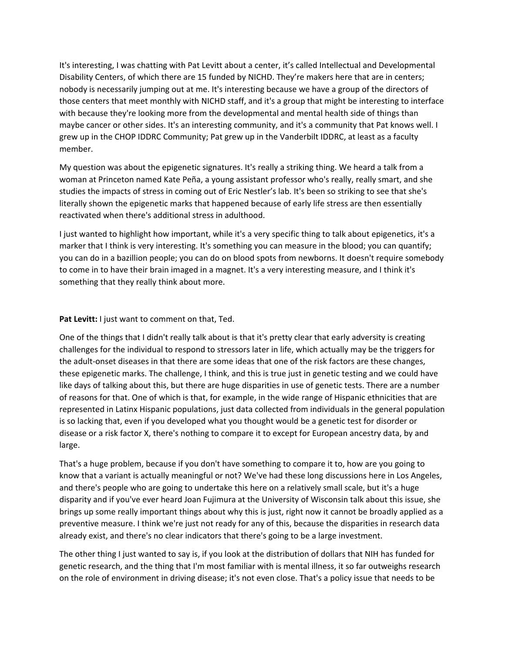It's interesting, I was chatting with Pat Levitt about a center, it's called Intellectual and Developmental Disability Centers, of which there are 15 funded by NICHD. They're makers here that are in centers; nobody is necessarily jumping out at me. It's interesting because we have a group of the directors of those centers that meet monthly with NICHD staff, and it's a group that might be interesting to interface with because they're looking more from the developmental and mental health side of things than maybe cancer or other sides. It's an interesting community, and it's a community that Pat knows well. I grew up in the CHOP IDDRC Community; Pat grew up in the Vanderbilt IDDRC, at least as a faculty member.

My question was about the epigenetic signatures. It's really a striking thing. We heard a talk from a woman at Princeton named Kate Peña, a young assistant professor who's really, really smart, and she studies the impacts of stress in coming out of Eric Nestler's lab. It's been so striking to see that she's literally shown the epigenetic marks that happened because of early life stress are then essentially reactivated when there's additional stress in adulthood.

I just wanted to highlight how important, while it's a very specific thing to talk about epigenetics, it's a marker that I think is very interesting. It's something you can measure in the blood; you can quantify; you can do in a bazillion people; you can do on blood spots from newborns. It doesn't require somebody to come in to have their brain imaged in a magnet. It's a very interesting measure, and I think it's something that they really think about more.

## **Pat Levitt:** I just want to comment on that, Ted.

One of the things that I didn't really talk about is that it's pretty clear that early adversity is creating challenges for the individual to respond to stressors later in life, which actually may be the triggers for the adult-onset diseases in that there are some ideas that one of the risk factors are these changes, these epigenetic marks. The challenge, I think, and this is true just in genetic testing and we could have like days of talking about this, but there are huge disparities in use of genetic tests. There are a number of reasons for that. One of which is that, for example, in the wide range of Hispanic ethnicities that are represented in Latinx Hispanic populations, just data collected from individuals in the general population is so lacking that, even if you developed what you thought would be a genetic test for disorder or disease or a risk factor X, there's nothing to compare it to except for European ancestry data, by and large.

That's a huge problem, because if you don't have something to compare it to, how are you going to know that a variant is actually meaningful or not? We've had these long discussions here in Los Angeles, and there's people who are going to undertake this here on a relatively small scale, but it's a huge disparity and if you've ever heard Joan Fujimura at the University of Wisconsin talk about this issue, she brings up some really important things about why this is just, right now it cannot be broadly applied as a preventive measure. I think we're just not ready for any of this, because the disparities in research data already exist, and there's no clear indicators that there's going to be a large investment.

The other thing I just wanted to say is, if you look at the distribution of dollars that NIH has funded for genetic research, and the thing that I'm most familiar with is mental illness, it so far outweighs research on the role of environment in driving disease; it's not even close. That's a policy issue that needs to be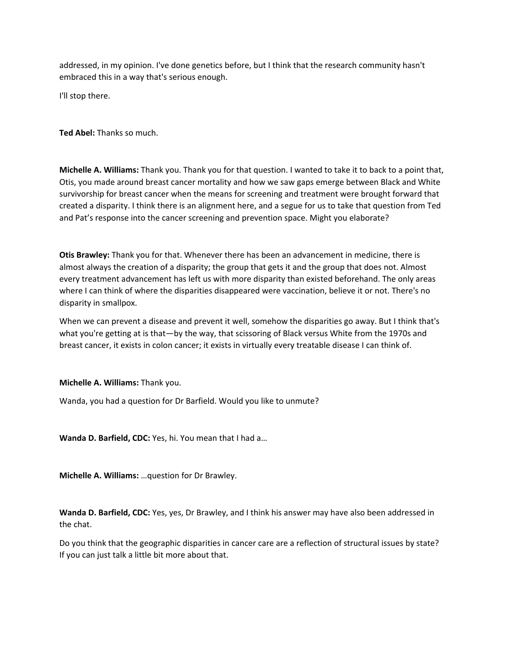addressed, in my opinion. I've done genetics before, but I think that the research community hasn't embraced this in a way that's serious enough.

I'll stop there.

**Ted Abel:** Thanks so much.

**Michelle A. Williams:** Thank you. Thank you for that question. I wanted to take it to back to a point that, Otis, you made around breast cancer mortality and how we saw gaps emerge between Black and White survivorship for breast cancer when the means for screening and treatment were brought forward that created a disparity. I think there is an alignment here, and a segue for us to take that question from Ted and Pat's response into the cancer screening and prevention space. Might you elaborate?

**Otis Brawley:** Thank you for that. Whenever there has been an advancement in medicine, there is almost always the creation of a disparity; the group that gets it and the group that does not. Almost every treatment advancement has left us with more disparity than existed beforehand. The only areas where I can think of where the disparities disappeared were vaccination, believe it or not. There's no disparity in smallpox.

When we can prevent a disease and prevent it well, somehow the disparities go away. But I think that's what you're getting at is that—by the way, that scissoring of Black versus White from the 1970s and breast cancer, it exists in colon cancer; it exists in virtually every treatable disease I can think of.

**Michelle A. Williams:** Thank you.

Wanda, you had a question for Dr Barfield. Would you like to unmute?

**Wanda D. Barfield, CDC:** Yes, hi. You mean that I had a…

**Michelle A. Williams:** …question for Dr Brawley.

**Wanda D. Barfield, CDC:** Yes, yes, Dr Brawley, and I think his answer may have also been addressed in the chat.

Do you think that the geographic disparities in cancer care are a reflection of structural issues by state? If you can just talk a little bit more about that.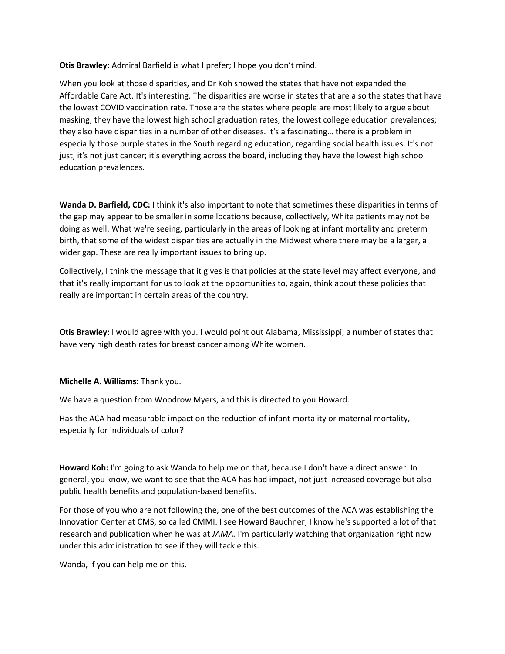**Otis Brawley:** Admiral Barfield is what I prefer; I hope you don't mind.

When you look at those disparities, and Dr Koh showed the states that have not expanded the Affordable Care Act. It's interesting. The disparities are worse in states that are also the states that have the lowest COVID vaccination rate. Those are the states where people are most likely to argue about masking; they have the lowest high school graduation rates, the lowest college education prevalences; they also have disparities in a number of other diseases. It's a fascinating… there is a problem in especially those purple states in the South regarding education, regarding social health issues. It's not just, it's not just cancer; it's everything across the board, including they have the lowest high school education prevalences.

**Wanda D. Barfield, CDC:** I think it's also important to note that sometimes these disparities in terms of the gap may appear to be smaller in some locations because, collectively, White patients may not be doing as well. What we're seeing, particularly in the areas of looking at infant mortality and preterm birth, that some of the widest disparities are actually in the Midwest where there may be a larger, a wider gap. These are really important issues to bring up.

Collectively, I think the message that it gives is that policies at the state level may affect everyone, and that it's really important for us to look at the opportunities to, again, think about these policies that really are important in certain areas of the country.

**Otis Brawley:** I would agree with you. I would point out Alabama, Mississippi, a number of states that have very high death rates for breast cancer among White women.

**Michelle A. Williams:** Thank you.

We have a question from Woodrow Myers, and this is directed to you Howard.

Has the ACA had measurable impact on the reduction of infant mortality or maternal mortality, especially for individuals of color?

**Howard Koh:** I'm going to ask Wanda to help me on that, because I don't have a direct answer. In general, you know, we want to see that the ACA has had impact, not just increased coverage but also public health benefits and population‐based benefits.

For those of you who are not following the, one of the best outcomes of the ACA was establishing the Innovation Center at CMS, so called CMMI. I see Howard Bauchner; I know he's supported a lot of that research and publication when he was at *JAMA.* I'm particularly watching that organization right now under this administration to see if they will tackle this.

Wanda, if you can help me on this.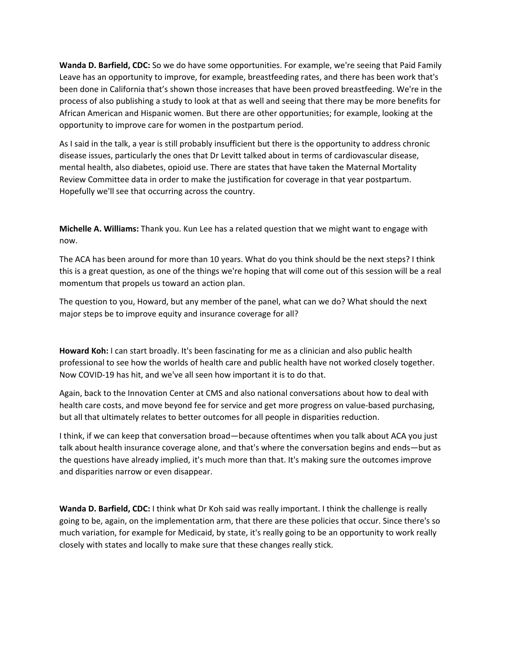**Wanda D. Barfield, CDC:** So we do have some opportunities. For example, we're seeing that Paid Family Leave has an opportunity to improve, for example, breastfeeding rates, and there has been work that's been done in California that's shown those increases that have been proved breastfeeding. We're in the process of also publishing a study to look at that as well and seeing that there may be more benefits for African American and Hispanic women. But there are other opportunities; for example, looking at the opportunity to improve care for women in the postpartum period.

As I said in the talk, a year is still probably insufficient but there is the opportunity to address chronic disease issues, particularly the ones that Dr Levitt talked about in terms of cardiovascular disease, mental health, also diabetes, opioid use. There are states that have taken the Maternal Mortality Review Committee data in order to make the justification for coverage in that year postpartum. Hopefully we'll see that occurring across the country.

**Michelle A. Williams:** Thank you. Kun Lee has a related question that we might want to engage with now.

The ACA has been around for more than 10 years. What do you think should be the next steps? I think this is a great question, as one of the things we're hoping that will come out of this session will be a real momentum that propels us toward an action plan.

The question to you, Howard, but any member of the panel, what can we do? What should the next major steps be to improve equity and insurance coverage for all?

**Howard Koh:** I can start broadly. It's been fascinating for me as a clinician and also public health professional to see how the worlds of health care and public health have not worked closely together. Now COVID‐19 has hit, and we've all seen how important it is to do that.

Again, back to the Innovation Center at CMS and also national conversations about how to deal with health care costs, and move beyond fee for service and get more progress on value‐based purchasing, but all that ultimately relates to better outcomes for all people in disparities reduction.

I think, if we can keep that conversation broad—because oftentimes when you talk about ACA you just talk about health insurance coverage alone, and that's where the conversation begins and ends—but as the questions have already implied, it's much more than that. It's making sure the outcomes improve and disparities narrow or even disappear.

**Wanda D. Barfield, CDC:** I think what Dr Koh said was really important. I think the challenge is really going to be, again, on the implementation arm, that there are these policies that occur. Since there's so much variation, for example for Medicaid, by state, it's really going to be an opportunity to work really closely with states and locally to make sure that these changes really stick.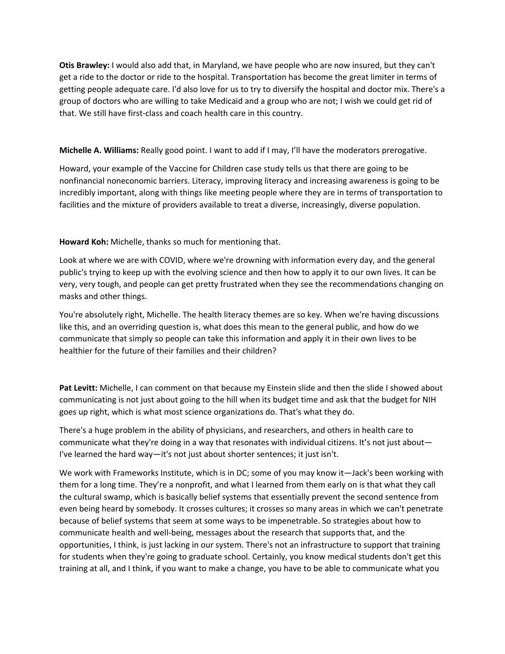**Otis Brawley:** I would also add that, in Maryland, we have people who are now insured, but they can't get a ride to the doctor or ride to the hospital. Transportation has become the great limiter in terms of getting people adequate care. I'd also love for us to try to diversify the hospital and doctor mix. There's a group of doctors who are willing to take Medicaid and a group who are not; I wish we could get rid of that. We still have first‐class and coach health care in this country.

**Michelle A. Williams:** Really good point. I want to add if I may, I'll have the moderators prerogative.

Howard, your example of the Vaccine for Children case study tells us that there are going to be nonfinancial noneconomic barriers. Literacy, improving literacy and increasing awareness is going to be incredibly important, along with things like meeting people where they are in terms of transportation to facilities and the mixture of providers available to treat a diverse, increasingly, diverse population.

**Howard Koh:** Michelle, thanks so much for mentioning that.

Look at where we are with COVID, where we're drowning with information every day, and the general public's trying to keep up with the evolving science and then how to apply it to our own lives. It can be very, very tough, and people can get pretty frustrated when they see the recommendations changing on masks and other things.

You're absolutely right, Michelle. The health literacy themes are so key. When we're having discussions like this, and an overriding question is, what does this mean to the general public, and how do we communicate that simply so people can take this information and apply it in their own lives to be healthier for the future of their families and their children?

**Pat Levitt:** Michelle, I can comment on that because my Einstein slide and then the slide I showed about communicating is not just about going to the hill when its budget time and ask that the budget for NIH goes up right, which is what most science organizations do. That's what they do.

There's a huge problem in the ability of physicians, and researchers, and others in health care to communicate what they're doing in a way that resonates with individual citizens. It's not just about— I've learned the hard way—it's not just about shorter sentences; it just isn't.

We work with Frameworks Institute, which is in DC; some of you may know it—Jack's been working with them for a long time. They're a nonprofit, and what I learned from them early on is that what they call the cultural swamp, which is basically belief systems that essentially prevent the second sentence from even being heard by somebody. It crosses cultures; it crosses so many areas in which we can't penetrate because of belief systems that seem at some ways to be impenetrable. So strategies about how to communicate health and well‐being, messages about the research that supports that, and the opportunities, I think, is just lacking in our system. There's not an infrastructure to support that training for students when they're going to graduate school. Certainly, you know medical students don't get this training at all, and I think, if you want to make a change, you have to be able to communicate what you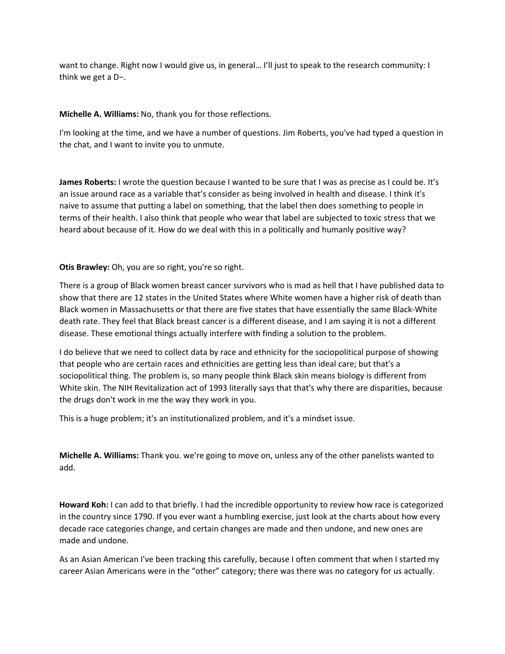want to change. Right now I would give us, in general... I'll just to speak to the research community: I think we get a D−.

**Michelle A. Williams:** No, thank you for those reflections.

I'm looking at the time, and we have a number of questions. Jim Roberts, you've had typed a question in the chat, and I want to invite you to unmute.

**James Roberts:** I wrote the question because I wanted to be sure that I was as precise as I could be. It's an issue around race as a variable that's consider as being involved in health and disease. I think it's naive to assume that putting a label on something, that the label then does something to people in terms of their health. I also think that people who wear that label are subjected to toxic stress that we heard about because of it. How do we deal with this in a politically and humanly positive way?

**Otis Brawley:** Oh, you are so right, you're so right.

There is a group of Black women breast cancer survivors who is mad as hell that I have published data to show that there are 12 states in the United States where White women have a higher risk of death than Black women in Massachusetts or that there are five states that have essentially the same Black‐White death rate. They feel that Black breast cancer is a different disease, and I am saying it is not a different disease. These emotional things actually interfere with finding a solution to the problem.

I do believe that we need to collect data by race and ethnicity for the sociopolitical purpose of showing that people who are certain races and ethnicities are getting less than ideal care; but that's a sociopolitical thing. The problem is, so many people think Black skin means biology is different from White skin. The NIH Revitalization act of 1993 literally says that that's why there are disparities, because the drugs don't work in me the way they work in you.

This is a huge problem; it's an institutionalized problem, and it's a mindset issue.

**Michelle A. Williams:** Thank you. we're going to move on, unless any of the other panelists wanted to add.

**Howard Koh:** I can add to that briefly. I had the incredible opportunity to review how race is categorized in the country since 1790. If you ever want a humbling exercise, just look at the charts about how every decade race categories change, and certain changes are made and then undone, and new ones are made and undone.

As an Asian American I've been tracking this carefully, because I often comment that when I started my career Asian Americans were in the "other" category; there was there was no category for us actually.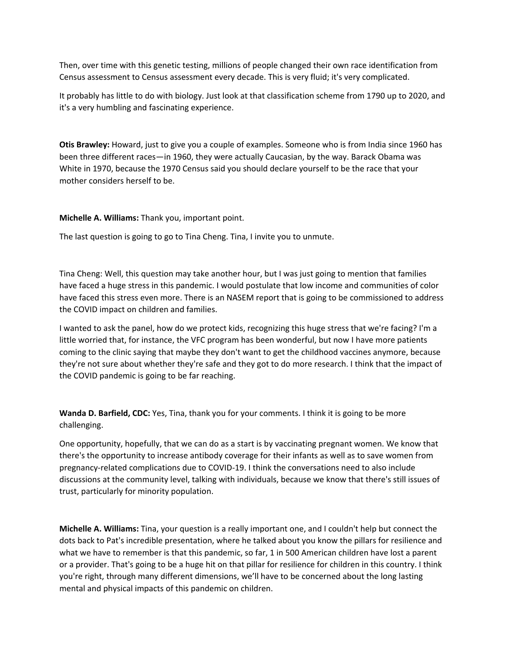Then, over time with this genetic testing, millions of people changed their own race identification from Census assessment to Census assessment every decade. This is very fluid; it's very complicated.

It probably has little to do with biology. Just look at that classification scheme from 1790 up to 2020, and it's a very humbling and fascinating experience.

**Otis Brawley:** Howard, just to give you a couple of examples. Someone who is from India since 1960 has been three different races—in 1960, they were actually Caucasian, by the way. Barack Obama was White in 1970, because the 1970 Census said you should declare yourself to be the race that your mother considers herself to be.

## **Michelle A. Williams:** Thank you, important point.

The last question is going to go to Tina Cheng. Tina, I invite you to unmute.

Tina Cheng: Well, this question may take another hour, but I was just going to mention that families have faced a huge stress in this pandemic. I would postulate that low income and communities of color have faced this stress even more. There is an NASEM report that is going to be commissioned to address the COVID impact on children and families.

I wanted to ask the panel, how do we protect kids, recognizing this huge stress that we're facing? I'm a little worried that, for instance, the VFC program has been wonderful, but now I have more patients coming to the clinic saying that maybe they don't want to get the childhood vaccines anymore, because they're not sure about whether they're safe and they got to do more research. I think that the impact of the COVID pandemic is going to be far reaching.

**Wanda D. Barfield, CDC:** Yes, Tina, thank you for your comments. I think it is going to be more challenging.

One opportunity, hopefully, that we can do as a start is by vaccinating pregnant women. We know that there's the opportunity to increase antibody coverage for their infants as well as to save women from pregnancy‐related complications due to COVID‐19. I think the conversations need to also include discussions at the community level, talking with individuals, because we know that there's still issues of trust, particularly for minority population.

**Michelle A. Williams:** Tina, your question is a really important one, and I couldn't help but connect the dots back to Pat's incredible presentation, where he talked about you know the pillars for resilience and what we have to remember is that this pandemic, so far, 1 in 500 American children have lost a parent or a provider. That's going to be a huge hit on that pillar for resilience for children in this country. I think you're right, through many different dimensions, we'll have to be concerned about the long lasting mental and physical impacts of this pandemic on children.